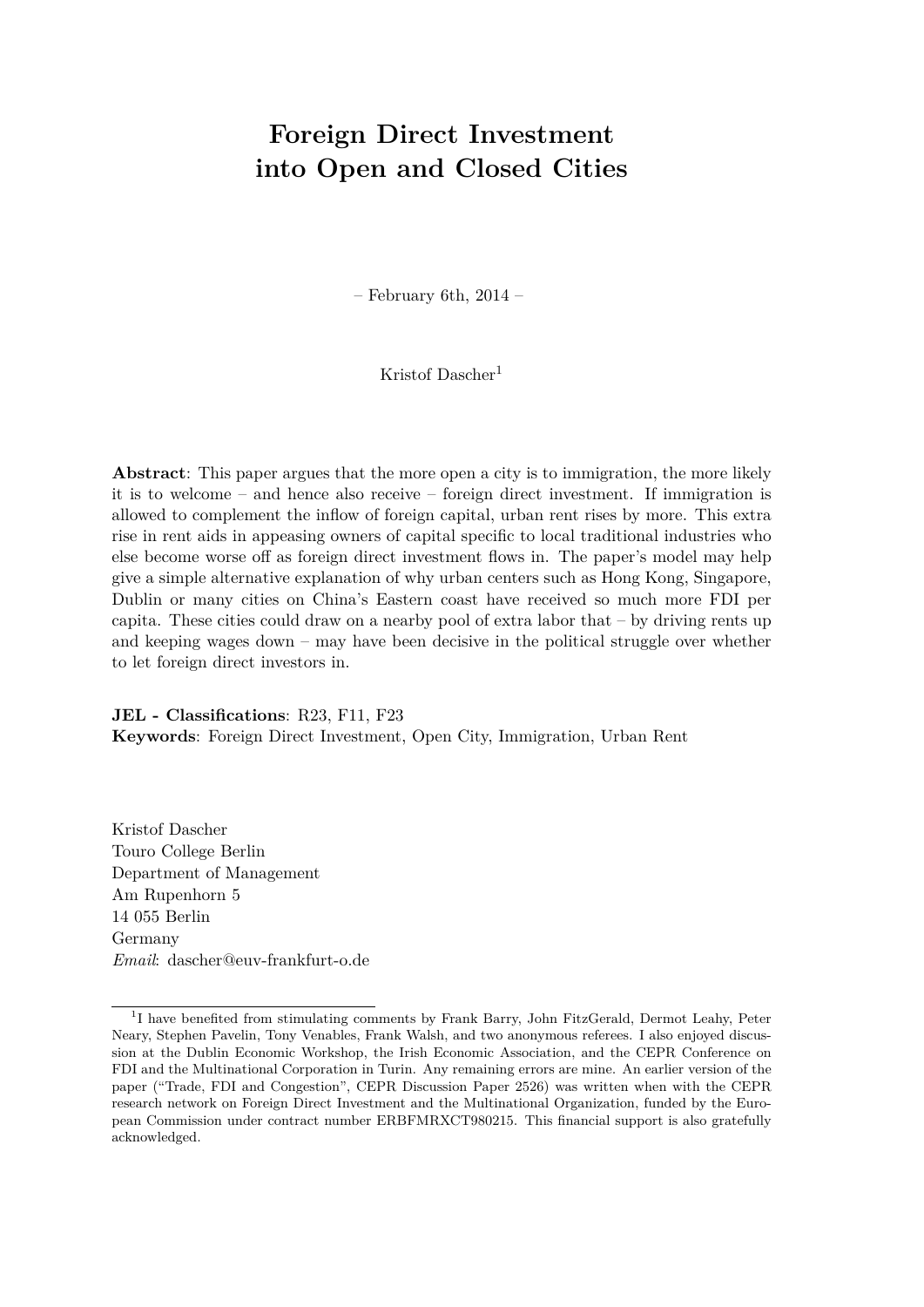# **Foreign Direct Investment into Open and Closed Cities**

– February 6th,  $2014$  –

Kristof Dascher<sup>1</sup>

**Abstract**: This paper argues that the more open a city is to immigration, the more likely it is to welcome – and hence also receive – foreign direct investment. If immigration is allowed to complement the inflow of foreign capital, urban rent rises by more. This extra rise in rent aids in appeasing owners of capital specific to local traditional industries who else become worse off as foreign direct investment flows in. The paper's model may help give a simple alternative explanation of why urban centers such as Hong Kong, Singapore, Dublin or many cities on China's Eastern coast have received so much more FDI per capita. These cities could draw on a nearby pool of extra labor that – by driving rents up and keeping wages down – may have been decisive in the political struggle over whether to let foreign direct investors in.

**JEL - Classifications**: R23, F11, F23 **Keywords**: Foreign Direct Investment, Open City, Immigration, Urban Rent

Kristof Dascher Touro College Berlin Department of Management Am Rupenhorn 5 14 055 Berlin Germany *Email*: dascher@euv-frankfurt-o.de

<sup>&</sup>lt;sup>1</sup>I have benefited from stimulating comments by Frank Barry, John FitzGerald, Dermot Leahy, Peter Neary, Stephen Pavelin, Tony Venables, Frank Walsh, and two anonymous referees. I also enjoyed discussion at the Dublin Economic Workshop, the Irish Economic Association, and the CEPR Conference on FDI and the Multinational Corporation in Turin. Any remaining errors are mine. An earlier version of the paper ("Trade, FDI and Congestion", CEPR Discussion Paper 2526) was written when with the CEPR research network on Foreign Direct Investment and the Multinational Organization, funded by the European Commission under contract number ERBFMRXCT980215. This financial support is also gratefully acknowledged.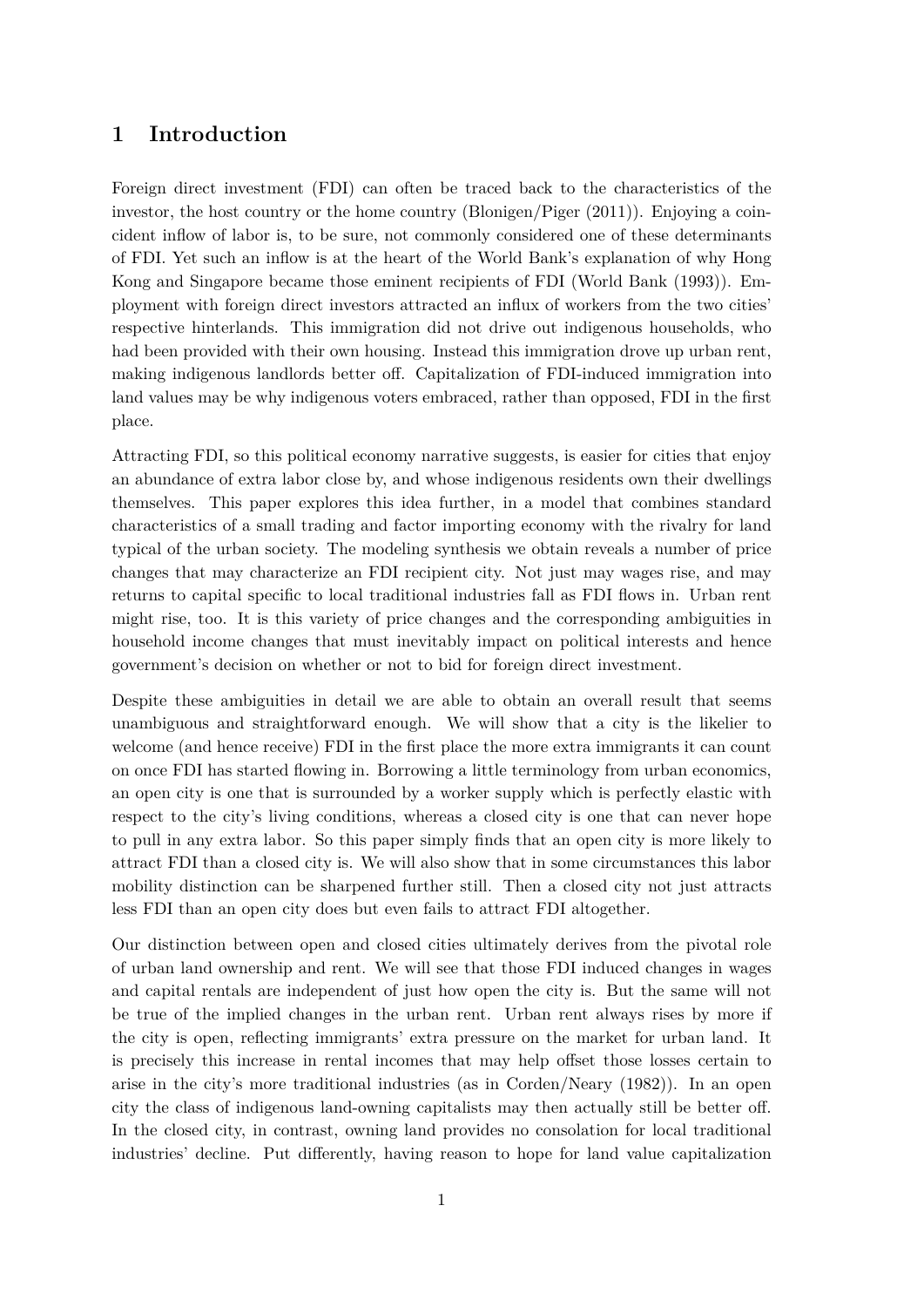## **1 Introduction**

Foreign direct investment (FDI) can often be traced back to the characteristics of the investor, the host country or the home country (Blonigen/Piger (2011)). Enjoying a coincident inflow of labor is, to be sure, not commonly considered one of these determinants of FDI. Yet such an inflow is at the heart of the World Bank's explanation of why Hong Kong and Singapore became those eminent recipients of FDI (World Bank (1993)). Employment with foreign direct investors attracted an influx of workers from the two cities' respective hinterlands. This immigration did not drive out indigenous households, who had been provided with their own housing. Instead this immigration drove up urban rent, making indigenous landlords better off. Capitalization of FDI-induced immigration into land values may be why indigenous voters embraced, rather than opposed, FDI in the first place.

Attracting FDI, so this political economy narrative suggests, is easier for cities that enjoy an abundance of extra labor close by, and whose indigenous residents own their dwellings themselves. This paper explores this idea further, in a model that combines standard characteristics of a small trading and factor importing economy with the rivalry for land typical of the urban society. The modeling synthesis we obtain reveals a number of price changes that may characterize an FDI recipient city. Not just may wages rise, and may returns to capital specific to local traditional industries fall as FDI flows in. Urban rent might rise, too. It is this variety of price changes and the corresponding ambiguities in household income changes that must inevitably impact on political interests and hence government's decision on whether or not to bid for foreign direct investment.

Despite these ambiguities in detail we are able to obtain an overall result that seems unambiguous and straightforward enough. We will show that a city is the likelier to welcome (and hence receive) FDI in the first place the more extra immigrants it can count on once FDI has started flowing in. Borrowing a little terminology from urban economics, an open city is one that is surrounded by a worker supply which is perfectly elastic with respect to the city's living conditions, whereas a closed city is one that can never hope to pull in any extra labor. So this paper simply finds that an open city is more likely to attract FDI than a closed city is. We will also show that in some circumstances this labor mobility distinction can be sharpened further still. Then a closed city not just attracts less FDI than an open city does but even fails to attract FDI altogether.

Our distinction between open and closed cities ultimately derives from the pivotal role of urban land ownership and rent. We will see that those FDI induced changes in wages and capital rentals are independent of just how open the city is. But the same will not be true of the implied changes in the urban rent. Urban rent always rises by more if the city is open, reflecting immigrants' extra pressure on the market for urban land. It is precisely this increase in rental incomes that may help offset those losses certain to arise in the city's more traditional industries (as in Corden/Neary (1982)). In an open city the class of indigenous land-owning capitalists may then actually still be better off. In the closed city, in contrast, owning land provides no consolation for local traditional industries' decline. Put differently, having reason to hope for land value capitalization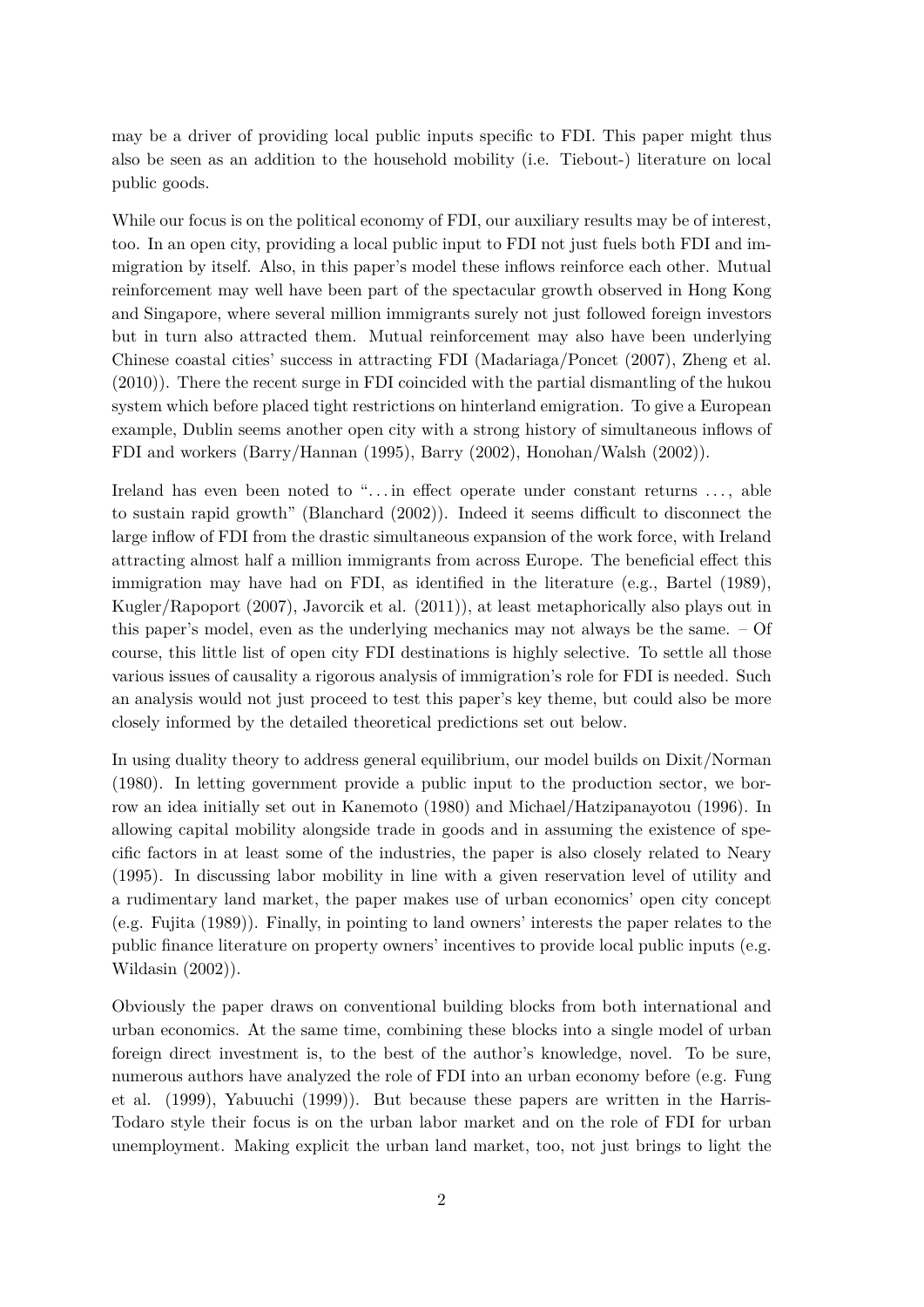may be a driver of providing local public inputs specific to FDI. This paper might thus also be seen as an addition to the household mobility (i.e. Tiebout-) literature on local public goods.

While our focus is on the political economy of FDI, our auxiliary results may be of interest, too. In an open city, providing a local public input to FDI not just fuels both FDI and immigration by itself. Also, in this paper's model these inflows reinforce each other. Mutual reinforcement may well have been part of the spectacular growth observed in Hong Kong and Singapore, where several million immigrants surely not just followed foreign investors but in turn also attracted them. Mutual reinforcement may also have been underlying Chinese coastal cities' success in attracting FDI (Madariaga/Poncet (2007), Zheng et al. (2010)). There the recent surge in FDI coincided with the partial dismantling of the hukou system which before placed tight restrictions on hinterland emigration. To give a European example, Dublin seems another open city with a strong history of simultaneous inflows of FDI and workers (Barry/Hannan (1995), Barry (2002), Honohan/Walsh (2002)).

Ireland has even been noted to "... in effect operate under constant returns ..., able to sustain rapid growth" (Blanchard (2002)). Indeed it seems difficult to disconnect the large inflow of FDI from the drastic simultaneous expansion of the work force, with Ireland attracting almost half a million immigrants from across Europe. The beneficial effect this immigration may have had on FDI, as identified in the literature (e.g., Bartel (1989), Kugler/Rapoport (2007), Javorcik et al. (2011)), at least metaphorically also plays out in this paper's model, even as the underlying mechanics may not always be the same. – Of course, this little list of open city FDI destinations is highly selective. To settle all those various issues of causality a rigorous analysis of immigration's role for FDI is needed. Such an analysis would not just proceed to test this paper's key theme, but could also be more closely informed by the detailed theoretical predictions set out below.

In using duality theory to address general equilibrium, our model builds on Dixit/Norman (1980). In letting government provide a public input to the production sector, we borrow an idea initially set out in Kanemoto (1980) and Michael/Hatzipanayotou (1996). In allowing capital mobility alongside trade in goods and in assuming the existence of specific factors in at least some of the industries, the paper is also closely related to Neary (1995). In discussing labor mobility in line with a given reservation level of utility and a rudimentary land market, the paper makes use of urban economics' open city concept (e.g. Fujita (1989)). Finally, in pointing to land owners' interests the paper relates to the public finance literature on property owners' incentives to provide local public inputs (e.g. Wildasin (2002)).

Obviously the paper draws on conventional building blocks from both international and urban economics. At the same time, combining these blocks into a single model of urban foreign direct investment is, to the best of the author's knowledge, novel. To be sure, numerous authors have analyzed the role of FDI into an urban economy before (e.g. Fung et al. (1999), Yabuuchi (1999)). But because these papers are written in the Harris-Todaro style their focus is on the urban labor market and on the role of FDI for urban unemployment. Making explicit the urban land market, too, not just brings to light the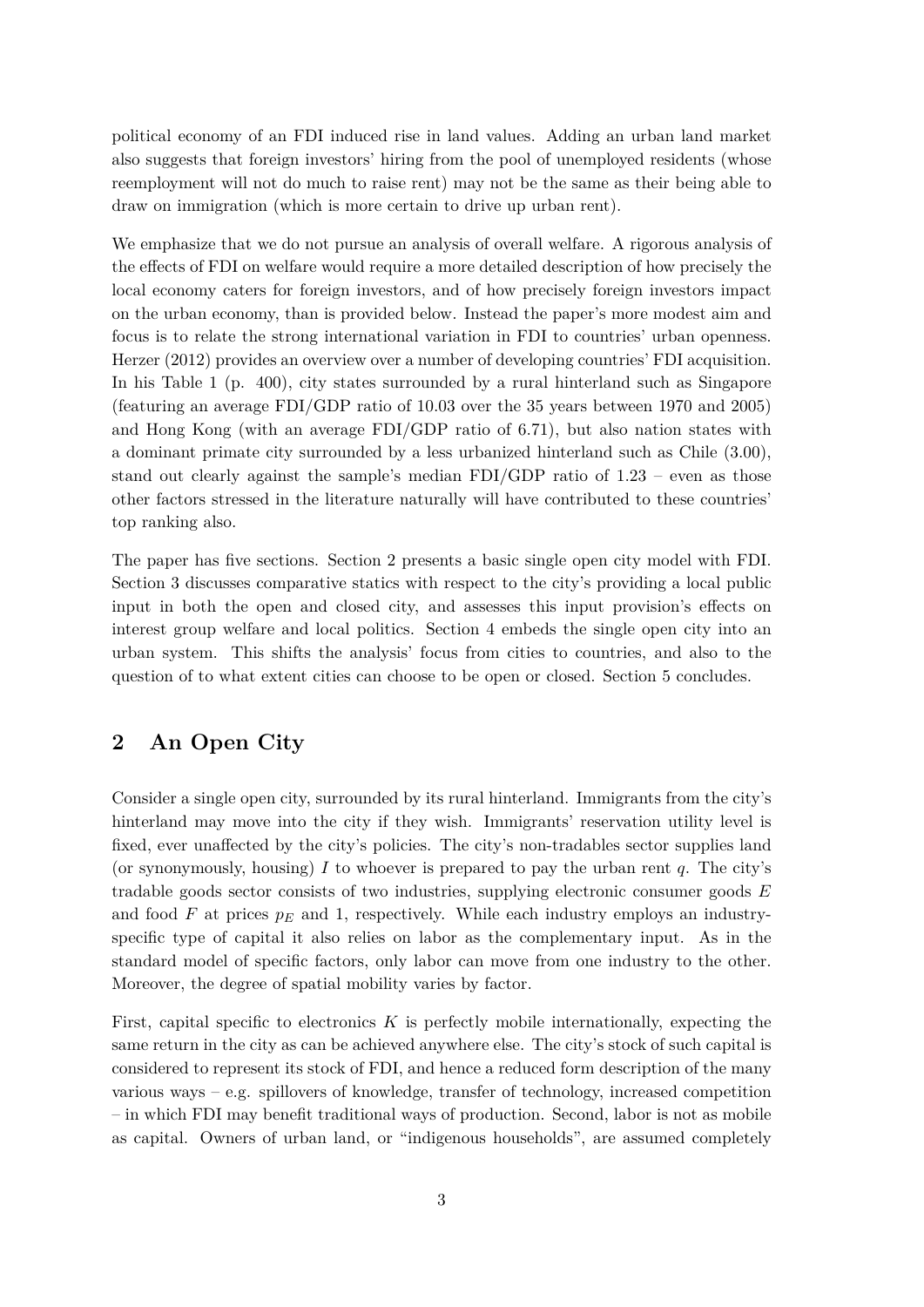political economy of an FDI induced rise in land values. Adding an urban land market also suggests that foreign investors' hiring from the pool of unemployed residents (whose reemployment will not do much to raise rent) may not be the same as their being able to draw on immigration (which is more certain to drive up urban rent).

We emphasize that we do not pursue an analysis of overall welfare. A rigorous analysis of the effects of FDI on welfare would require a more detailed description of how precisely the local economy caters for foreign investors, and of how precisely foreign investors impact on the urban economy, than is provided below. Instead the paper's more modest aim and focus is to relate the strong international variation in FDI to countries' urban openness. Herzer (2012) provides an overview over a number of developing countries' FDI acquisition. In his Table 1 (p. 400), city states surrounded by a rural hinterland such as Singapore (featuring an average FDI/GDP ratio of 10.03 over the 35 years between 1970 and 2005) and Hong Kong (with an average FDI/GDP ratio of 6.71), but also nation states with a dominant primate city surrounded by a less urbanized hinterland such as Chile (3.00), stand out clearly against the sample's median FDI/GDP ratio of 1.23 – even as those other factors stressed in the literature naturally will have contributed to these countries' top ranking also.

The paper has five sections. Section 2 presents a basic single open city model with FDI. Section 3 discusses comparative statics with respect to the city's providing a local public input in both the open and closed city, and assesses this input provision's effects on interest group welfare and local politics. Section 4 embeds the single open city into an urban system. This shifts the analysis' focus from cities to countries, and also to the question of to what extent cities can choose to be open or closed. Section 5 concludes.

# **2 An Open City**

Consider a single open city, surrounded by its rural hinterland. Immigrants from the city's hinterland may move into the city if they wish. Immigrants' reservation utility level is fixed, ever unaffected by the city's policies. The city's non-tradables sector supplies land (or synonymously, housing) *I* to whoever is prepared to pay the urban rent *q*. The city's tradable goods sector consists of two industries, supplying electronic consumer goods *E* and food  $F$  at prices  $p<sub>E</sub>$  and 1, respectively. While each industry employs an industryspecific type of capital it also relies on labor as the complementary input. As in the standard model of specific factors, only labor can move from one industry to the other. Moreover, the degree of spatial mobility varies by factor.

First, capital specific to electronics *K* is perfectly mobile internationally, expecting the same return in the city as can be achieved anywhere else. The city's stock of such capital is considered to represent its stock of FDI, and hence a reduced form description of the many various ways – e.g. spillovers of knowledge, transfer of technology, increased competition – in which FDI may benefit traditional ways of production. Second, labor is not as mobile as capital. Owners of urban land, or "indigenous households", are assumed completely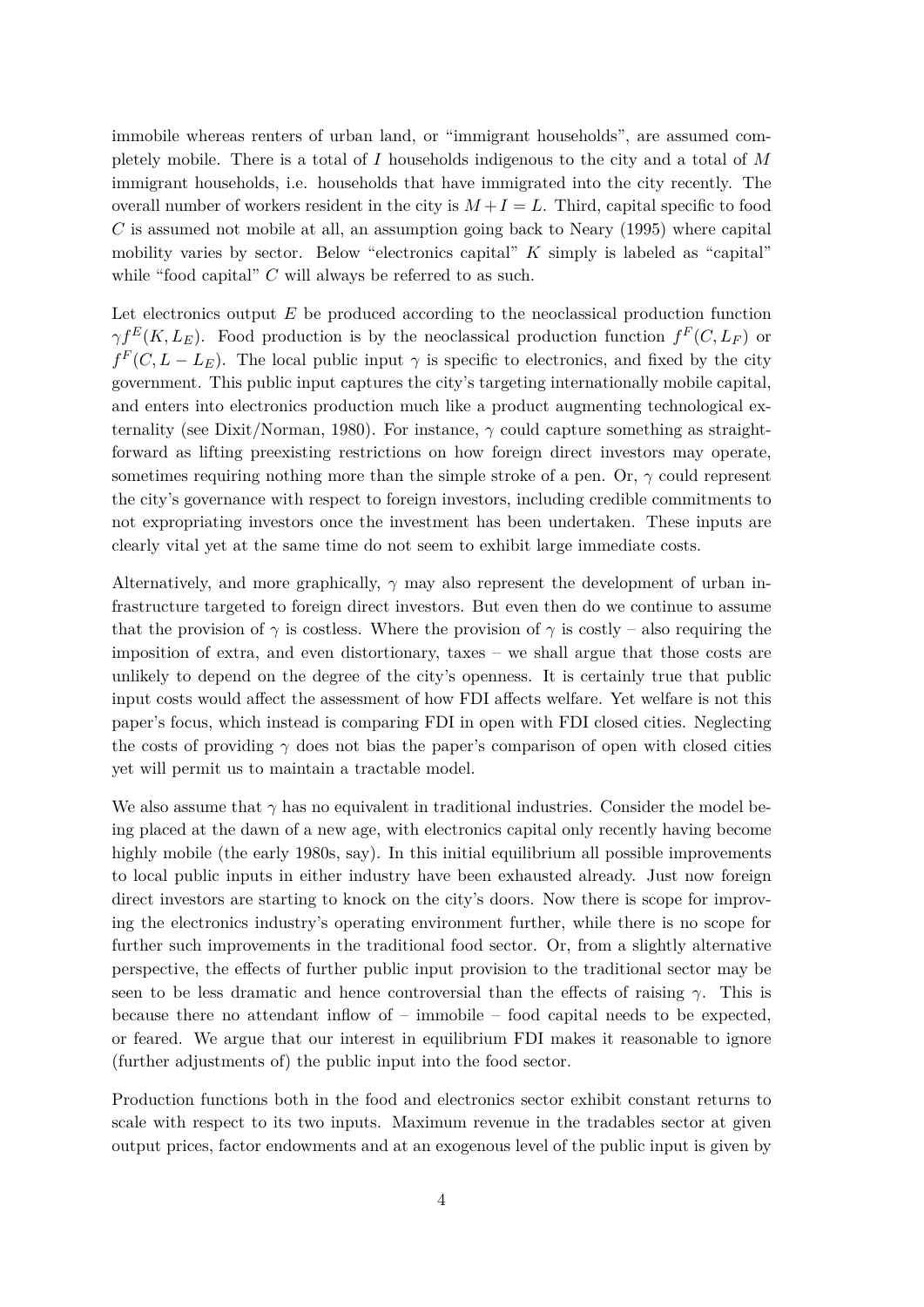immobile whereas renters of urban land, or "immigrant households", are assumed completely mobile. There is a total of *I* households indigenous to the city and a total of *M* immigrant households, i.e. households that have immigrated into the city recently. The overall number of workers resident in the city is  $M + I = L$ . Third, capital specific to food *C* is assumed not mobile at all, an assumption going back to Neary (1995) where capital mobility varies by sector. Below "electronics capital" *K* simply is labeled as "capital" while "food capital" *C* will always be referred to as such.

Let electronics output *E* be produced according to the neoclassical production function  $\gamma f^{E}(K, L_{E})$ . Food production is by the neoclassical production function  $f^{F}(C, L_{F})$  or  $f^F(C, L - L_E)$ . The local public input  $\gamma$  is specific to electronics, and fixed by the city government. This public input captures the city's targeting internationally mobile capital, and enters into electronics production much like a product augmenting technological externality (see Dixit/Norman, 1980). For instance, *γ* could capture something as straightforward as lifting preexisting restrictions on how foreign direct investors may operate, sometimes requiring nothing more than the simple stroke of a pen. Or,  $\gamma$  could represent the city's governance with respect to foreign investors, including credible commitments to not expropriating investors once the investment has been undertaken. These inputs are clearly vital yet at the same time do not seem to exhibit large immediate costs.

Alternatively, and more graphically,  $\gamma$  may also represent the development of urban infrastructure targeted to foreign direct investors. But even then do we continue to assume that the provision of  $\gamma$  is costless. Where the provision of  $\gamma$  is costly – also requiring the imposition of extra, and even distortionary, taxes – we shall argue that those costs are unlikely to depend on the degree of the city's openness. It is certainly true that public input costs would affect the assessment of how FDI affects welfare. Yet welfare is not this paper's focus, which instead is comparing FDI in open with FDI closed cities. Neglecting the costs of providing  $\gamma$  does not bias the paper's comparison of open with closed cities yet will permit us to maintain a tractable model.

We also assume that  $\gamma$  has no equivalent in traditional industries. Consider the model being placed at the dawn of a new age, with electronics capital only recently having become highly mobile (the early 1980s, say). In this initial equilibrium all possible improvements to local public inputs in either industry have been exhausted already. Just now foreign direct investors are starting to knock on the city's doors. Now there is scope for improving the electronics industry's operating environment further, while there is no scope for further such improvements in the traditional food sector. Or, from a slightly alternative perspective, the effects of further public input provision to the traditional sector may be seen to be less dramatic and hence controversial than the effects of raising  $\gamma$ . This is because there no attendant inflow of – immobile – food capital needs to be expected, or feared. We argue that our interest in equilibrium FDI makes it reasonable to ignore (further adjustments of) the public input into the food sector.

Production functions both in the food and electronics sector exhibit constant returns to scale with respect to its two inputs. Maximum revenue in the tradables sector at given output prices, factor endowments and at an exogenous level of the public input is given by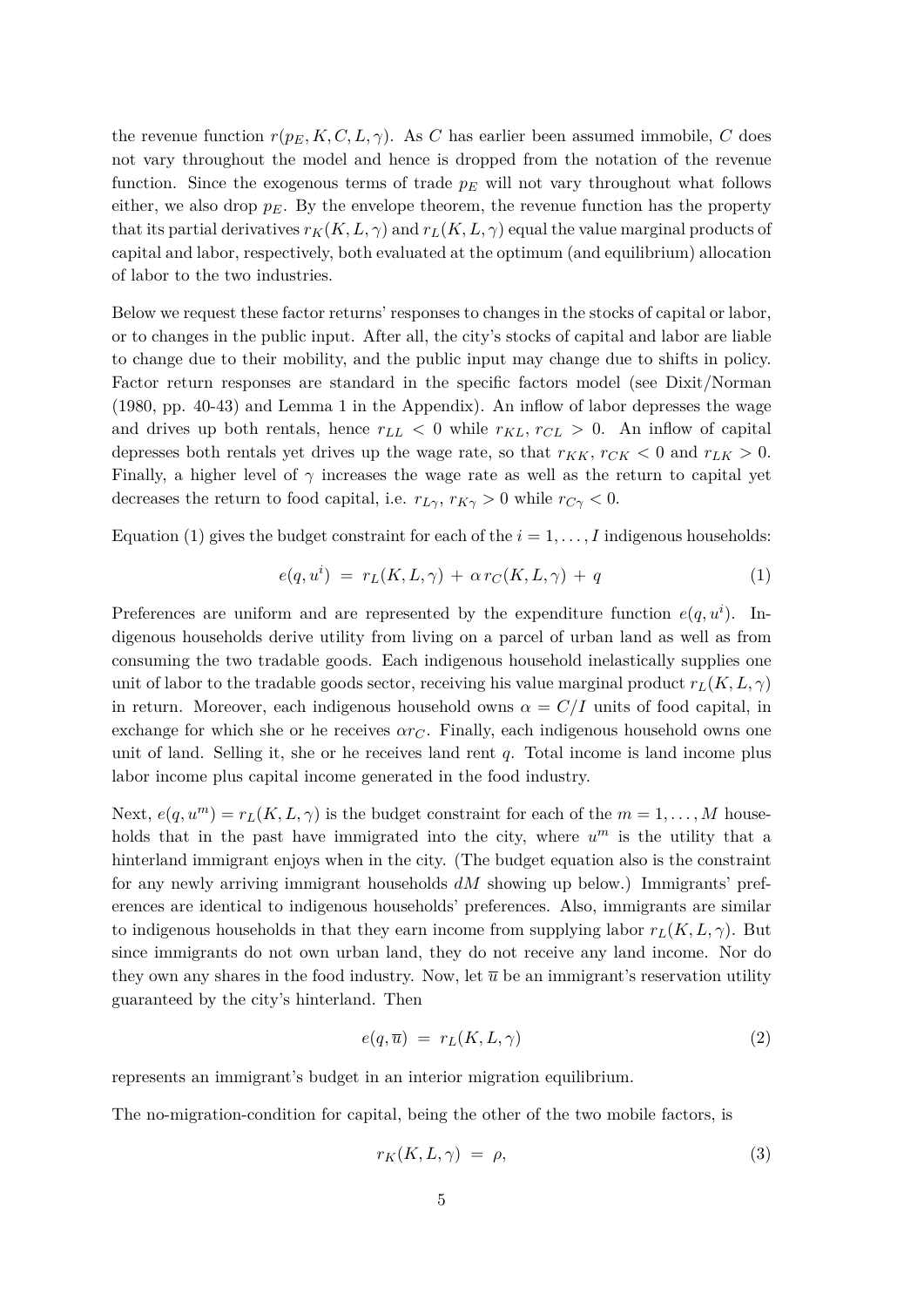the revenue function  $r(p_E, K, C, L, \gamma)$ . As C has earlier been assumed immobile, C does not vary throughout the model and hence is dropped from the notation of the revenue function. Since the exogenous terms of trade *p<sup>E</sup>* will not vary throughout what follows either, we also drop  $p_E$ . By the envelope theorem, the revenue function has the property that its partial derivatives  $r_K(K, L, \gamma)$  and  $r_L(K, L, \gamma)$  equal the value marginal products of capital and labor, respectively, both evaluated at the optimum (and equilibrium) allocation of labor to the two industries.

Below we request these factor returns' responses to changes in the stocks of capital or labor, or to changes in the public input. After all, the city's stocks of capital and labor are liable to change due to their mobility, and the public input may change due to shifts in policy. Factor return responses are standard in the specific factors model (see Dixit/Norman (1980, pp. 40-43) and Lemma 1 in the Appendix). An inflow of labor depresses the wage and drives up both rentals, hence  $r_{LL}$   $<$  0 while  $r_{KL}$ ,  $r_{CL}$   $>$  0. An inflow of capital depresses both rentals yet drives up the wage rate, so that  $r_{KK}$ ,  $r_{CK}$  < 0 and  $r_{LK}$  > 0. Finally, a higher level of  $\gamma$  increases the wage rate as well as the return to capital yet decreases the return to food capital, i.e.  $r_{L\gamma}$ ,  $r_{K\gamma} > 0$  while  $r_{C\gamma} < 0$ .

Equation (1) gives the budget constraint for each of the  $i = 1, \ldots, I$  indigenous households:

$$
e(q, ui) = rL(K, L, \gamma) + \alpha rC(K, L, \gamma) + q
$$
\n(1)

Preferences are uniform and are represented by the expenditure function  $e(q, u^i)$ . Indigenous households derive utility from living on a parcel of urban land as well as from consuming the two tradable goods. Each indigenous household inelastically supplies one unit of labor to the tradable goods sector, receiving his value marginal product  $r_L(K, L, \gamma)$ in return. Moreover, each indigenous household owns  $\alpha = C/I$  units of food capital, in exchange for which she or he receives  $\alpha r_C$ . Finally, each indigenous household owns one unit of land. Selling it, she or he receives land rent *q*. Total income is land income plus labor income plus capital income generated in the food industry.

Next,  $e(q, u^m) = r_L(K, L, \gamma)$  is the budget constraint for each of the  $m = 1, \ldots, M$  households that in the past have immigrated into the city, where  $u^m$  is the utility that a hinterland immigrant enjoys when in the city. (The budget equation also is the constraint for any newly arriving immigrant households *dM* showing up below.) Immigrants' preferences are identical to indigenous households' preferences. Also, immigrants are similar to indigenous households in that they earn income from supplying labor  $r_L(K, L, \gamma)$ . But since immigrants do not own urban land, they do not receive any land income. Nor do they own any shares in the food industry. Now, let  $\bar{u}$  be an immigrant's reservation utility guaranteed by the city's hinterland. Then

$$
e(q,\overline{u}) = r_L(K,L,\gamma) \tag{2}
$$

represents an immigrant's budget in an interior migration equilibrium.

The no-migration-condition for capital, being the other of the two mobile factors, is

$$
r_K(K, L, \gamma) = \rho,\tag{3}
$$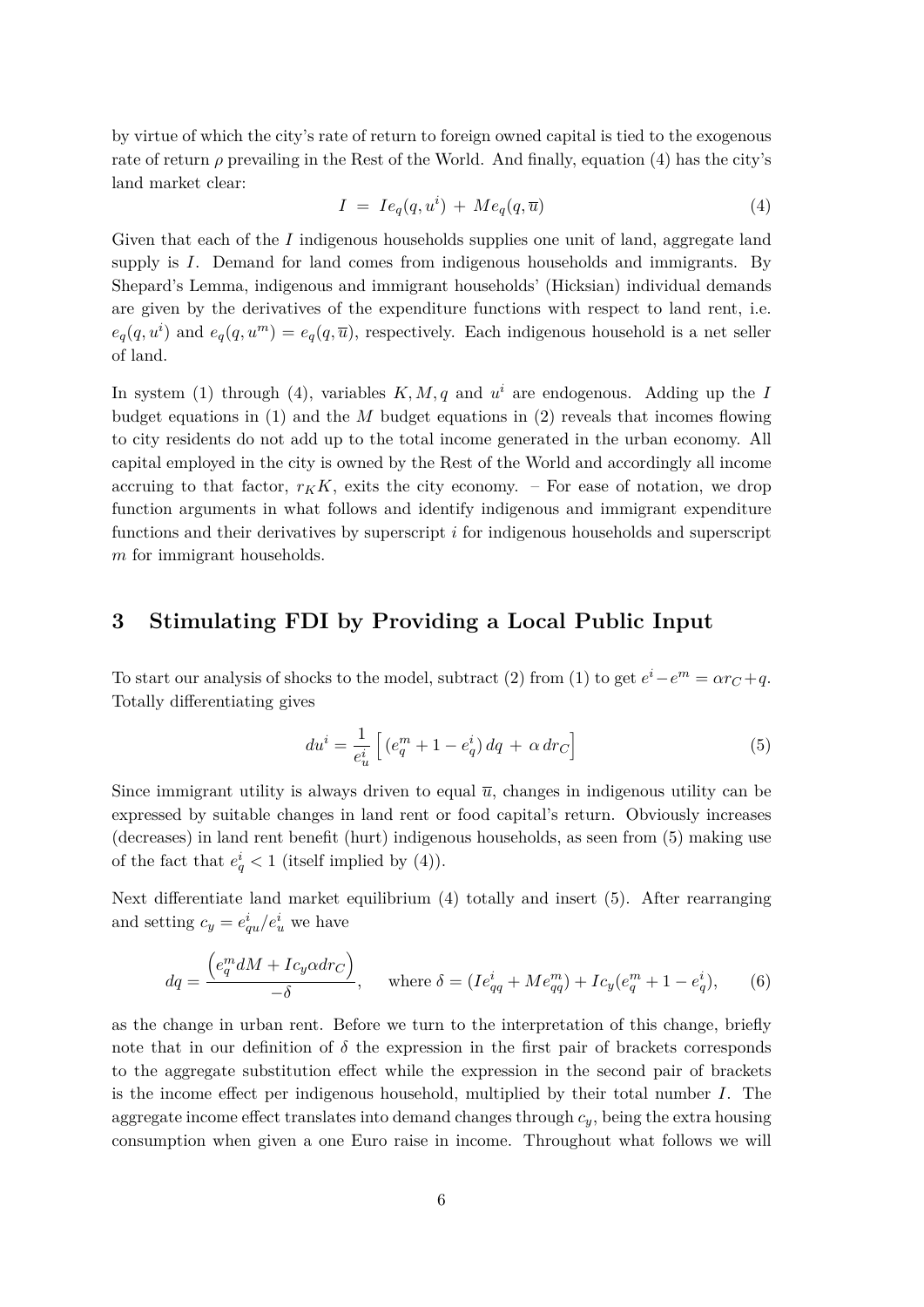by virtue of which the city's rate of return to foreign owned capital is tied to the exogenous rate of return  $\rho$  prevailing in the Rest of the World. And finally, equation (4) has the city's land market clear:

$$
I = I e_q(q, u^i) + M e_q(q, \overline{u}) \tag{4}
$$

Given that each of the *I* indigenous households supplies one unit of land, aggregate land supply is *I*. Demand for land comes from indigenous households and immigrants. By Shepard's Lemma, indigenous and immigrant households' (Hicksian) individual demands are given by the derivatives of the expenditure functions with respect to land rent, i.e.  $e_q(q, u^i)$  and  $e_q(q, u^m) = e_q(q, \overline{u})$ , respectively. Each indigenous household is a net seller of land.

In system (1) through (4), variables  $K, M, q$  and  $u^i$  are endogenous. Adding up the *I* budget equations in (1) and the *M* budget equations in (2) reveals that incomes flowing to city residents do not add up to the total income generated in the urban economy. All capital employed in the city is owned by the Rest of the World and accordingly all income accruing to that factor,  $r_K K$ , exits the city economy. – For ease of notation, we drop function arguments in what follows and identify indigenous and immigrant expenditure functions and their derivatives by superscript *i* for indigenous households and superscript *m* for immigrant households.

### **3 Stimulating FDI by Providing a Local Public Input**

To start our analysis of shocks to the model, subtract (2) from (1) to get  $e^{i} - e^{m} = \alpha r_C + q$ . Totally differentiating gives

$$
du^{i} = \frac{1}{e_{u}^{i}} \left[ \left( e_{q}^{m} + 1 - e_{q}^{i} \right) dq + \alpha \, dr_{C} \right] \tag{5}
$$

Since immigrant utility is always driven to equal  $\bar{u}$ , changes in indigenous utility can be expressed by suitable changes in land rent or food capital's return. Obviously increases (decreases) in land rent benefit (hurt) indigenous households, as seen from (5) making use of the fact that  $e_q^i < 1$  (itself implied by (4)).

Next differentiate land market equilibrium (4) totally and insert (5). After rearranging and setting  $c_y = e^i_{qu}/e^i_u$  we have

$$
dq = \frac{\left(e_q^m dM + I c_y \alpha dr_C\right)}{-\delta}, \quad \text{where } \delta = (I e_{qq}^i + M e_{qq}^m) + I c_y (e_q^m + 1 - e_q^i), \tag{6}
$$

as the change in urban rent. Before we turn to the interpretation of this change, briefly note that in our definition of  $\delta$  the expression in the first pair of brackets corresponds to the aggregate substitution effect while the expression in the second pair of brackets is the income effect per indigenous household, multiplied by their total number *I*. The aggregate income effect translates into demand changes through *cy*, being the extra housing consumption when given a one Euro raise in income. Throughout what follows we will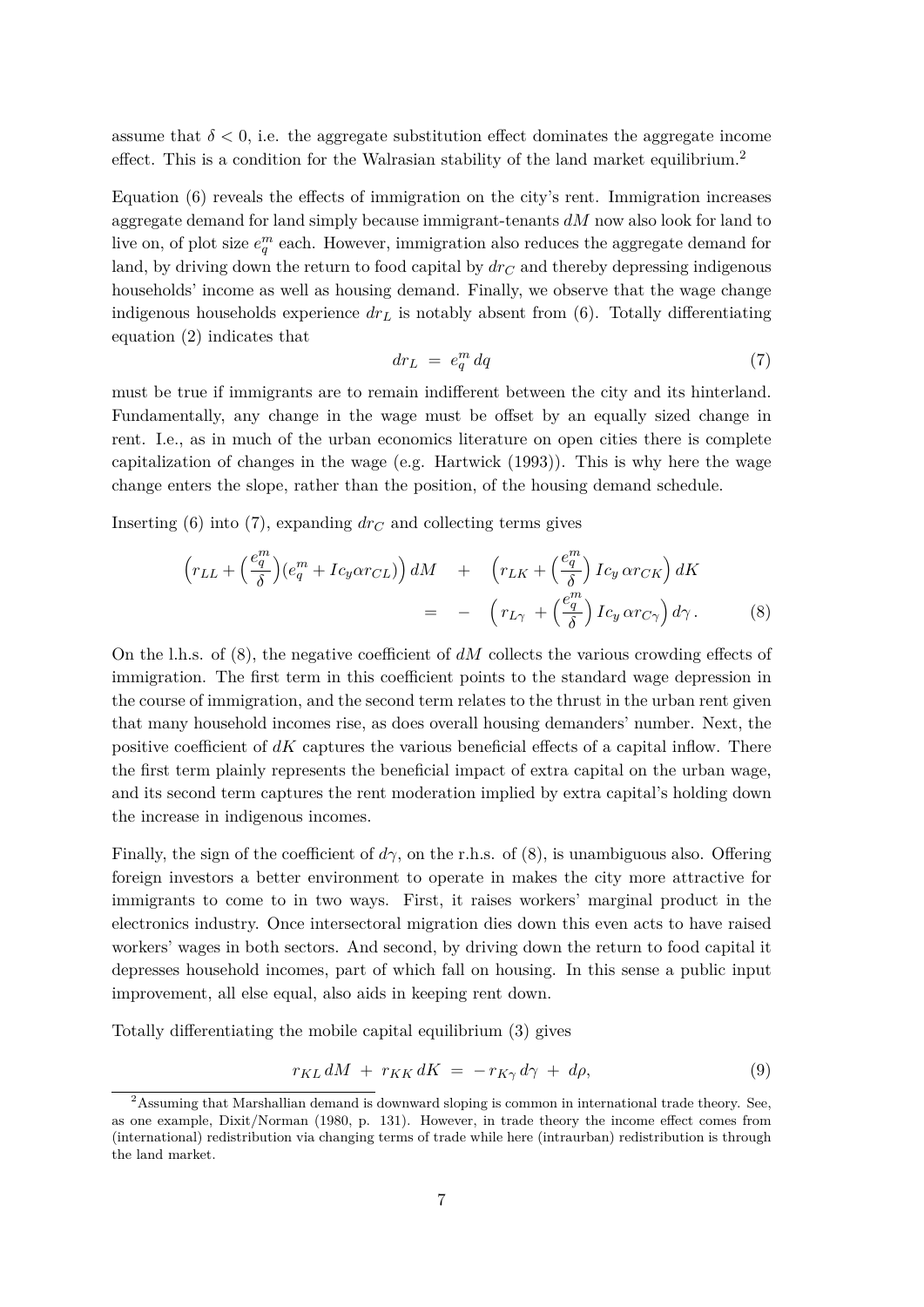assume that  $\delta < 0$ , i.e. the aggregate substitution effect dominates the aggregate income effect. This is a condition for the Walrasian stability of the land market equilibrium.<sup>2</sup>

Equation (6) reveals the effects of immigration on the city's rent. Immigration increases aggregate demand for land simply because immigrant-tenants *dM* now also look for land to live on, of plot size  $e_q^m$  each. However, immigration also reduces the aggregate demand for land, by driving down the return to food capital by  $dr_C$  and thereby depressing indigenous households' income as well as housing demand. Finally, we observe that the wage change indigenous households experience *dr<sup>L</sup>* is notably absent from (6). Totally differentiating equation (2) indicates that

$$
dr_L = e_q^m dq \tag{7}
$$

must be true if immigrants are to remain indifferent between the city and its hinterland. Fundamentally, any change in the wage must be offset by an equally sized change in rent. I.e., as in much of the urban economics literature on open cities there is complete capitalization of changes in the wage (e.g. Hartwick (1993)). This is why here the wage change enters the slope, rather than the position, of the housing demand schedule.

Inserting (6) into (7), expanding  $dr_C$  and collecting terms gives

$$
\left(r_{LL} + \left(\frac{e_q^m}{\delta}\right)(e_q^m + I_{c_y\alpha r_{CL}})\right)dM + \left(r_{LK} + \left(\frac{e_q^m}{\delta}\right)I_{c_y\alpha r_{CK}}\right)dK
$$
  

$$
= - \left(r_{L\gamma} + \left(\frac{e_q^m}{\delta}\right)I_{c_y\alpha r_{C\gamma}}\right)d\gamma.
$$
 (8)

On the l.h.s. of (8), the negative coefficient of *dM* collects the various crowding effects of immigration. The first term in this coefficient points to the standard wage depression in the course of immigration, and the second term relates to the thrust in the urban rent given that many household incomes rise, as does overall housing demanders' number. Next, the positive coefficient of *dK* captures the various beneficial effects of a capital inflow. There the first term plainly represents the beneficial impact of extra capital on the urban wage, and its second term captures the rent moderation implied by extra capital's holding down the increase in indigenous incomes.

Finally, the sign of the coefficient of  $d\gamma$ , on the r.h.s. of (8), is unambiguous also. Offering foreign investors a better environment to operate in makes the city more attractive for immigrants to come to in two ways. First, it raises workers' marginal product in the electronics industry. Once intersectoral migration dies down this even acts to have raised workers' wages in both sectors. And second, by driving down the return to food capital it depresses household incomes, part of which fall on housing. In this sense a public input improvement, all else equal, also aids in keeping rent down.

Totally differentiating the mobile capital equilibrium (3) gives

$$
r_{KL} dM + r_{KK} dK = -r_{K\gamma} d\gamma + d\rho, \qquad (9)
$$

<sup>2</sup>Assuming that Marshallian demand is downward sloping is common in international trade theory. See, as one example, Dixit/Norman (1980, p. 131). However, in trade theory the income effect comes from (international) redistribution via changing terms of trade while here (intraurban) redistribution is through the land market.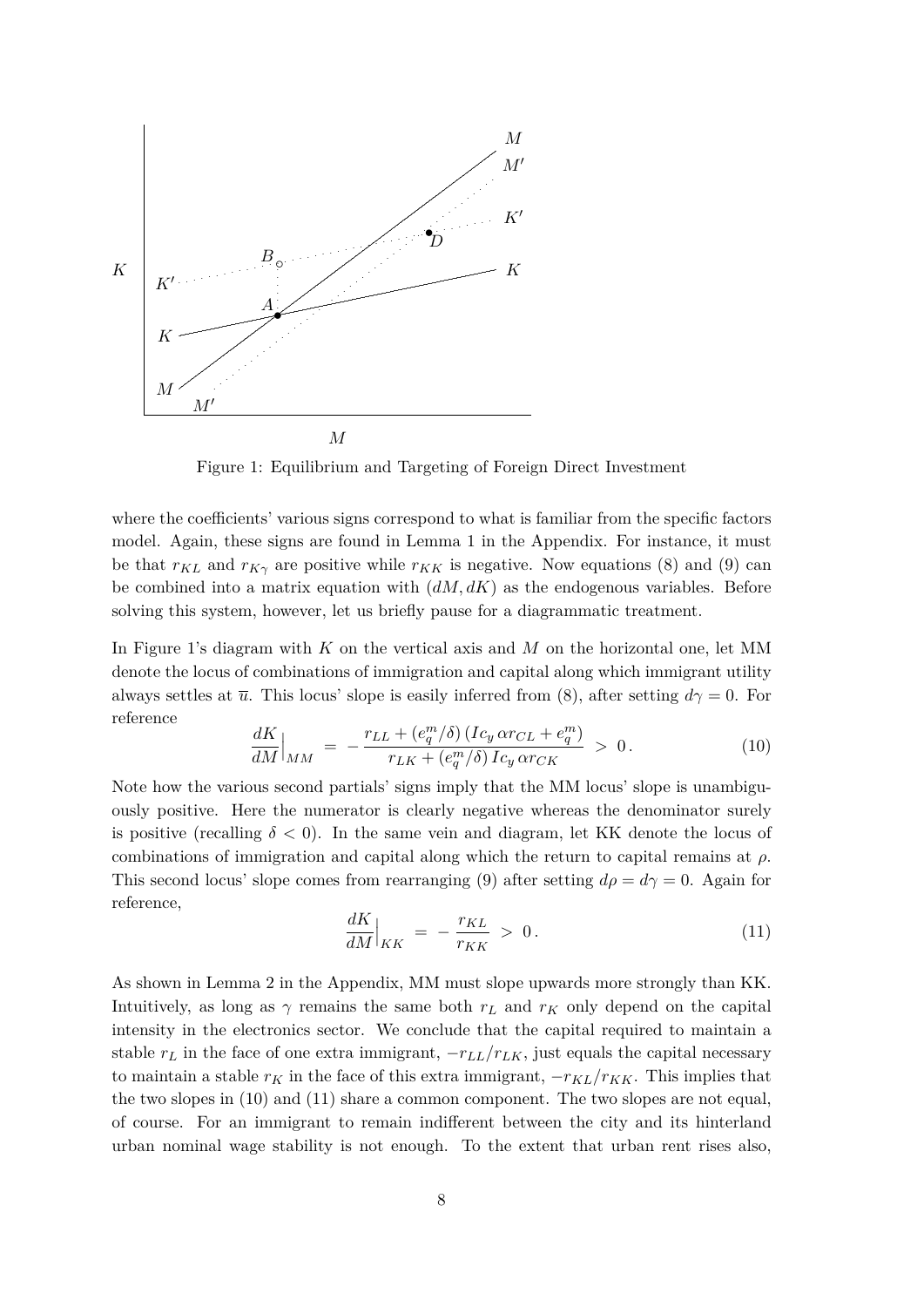

Figure 1: Equilibrium and Targeting of Foreign Direct Investment

where the coefficients' various signs correspond to what is familiar from the specific factors model. Again, these signs are found in Lemma 1 in the Appendix. For instance, it must be that  $r_{KL}$  and  $r_{K\gamma}$  are positive while  $r_{KK}$  is negative. Now equations (8) and (9) can be combined into a matrix equation with  $(dM, dK)$  as the endogenous variables. Before solving this system, however, let us briefly pause for a diagrammatic treatment.

In Figure 1's diagram with *K* on the vertical axis and *M* on the horizontal one, let MM denote the locus of combinations of immigration and capital along which immigrant utility always settles at  $\bar{u}$ . This locus' slope is easily inferred from (8), after setting  $d\gamma = 0$ . For reference

$$
\frac{dK}{dM}\Big|_{MM} = -\frac{r_{LL} + (e_q^m/\delta) (Ic_y \alpha r_{CL} + e_q^m)}{r_{LK} + (e_q^m/\delta) Ic_y \alpha r_{CK}} > 0.
$$
\n(10)

Note how the various second partials' signs imply that the MM locus' slope is unambiguously positive. Here the numerator is clearly negative whereas the denominator surely is positive (recalling  $\delta < 0$ ). In the same vein and diagram, let KK denote the locus of combinations of immigration and capital along which the return to capital remains at *ρ*. This second locus' slope comes from rearranging (9) after setting  $d\rho = d\gamma = 0$ . Again for reference,

$$
\left. \frac{dK}{dM} \right|_{KK} = -\frac{r_{KL}}{r_{KK}} > 0. \tag{11}
$$

As shown in Lemma 2 in the Appendix, MM must slope upwards more strongly than KK. Intuitively, as long as  $\gamma$  remains the same both  $r_L$  and  $r_K$  only depend on the capital intensity in the electronics sector. We conclude that the capital required to maintain a stable  $r_L$  in the face of one extra immigrant,  $-r_{LL}/r_{LK}$ , just equals the capital necessary to maintain a stable  $r_K$  in the face of this extra immigrant,  $-r_{KL}/r_{KK}$ . This implies that the two slopes in (10) and (11) share a common component. The two slopes are not equal, of course. For an immigrant to remain indifferent between the city and its hinterland urban nominal wage stability is not enough. To the extent that urban rent rises also,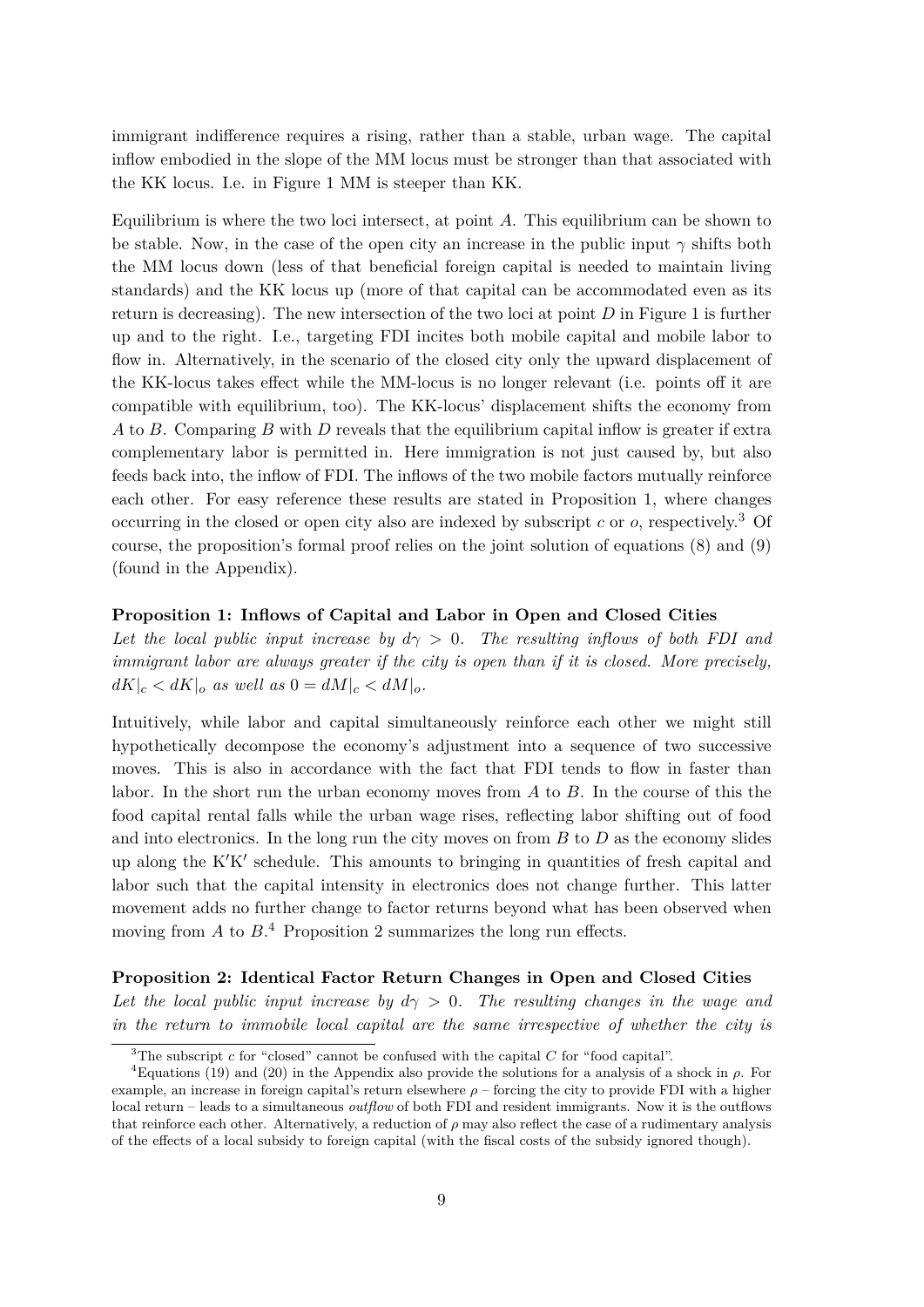immigrant indifference requires a rising, rather than a stable, urban wage. The capital inflow embodied in the slope of the MM locus must be stronger than that associated with the KK locus. I.e. in Figure 1 MM is steeper than KK.

Equilibrium is where the two loci intersect, at point *A*. This equilibrium can be shown to be stable. Now, in the case of the open city an increase in the public input  $\gamma$  shifts both the MM locus down (less of that beneficial foreign capital is needed to maintain living standards) and the KK locus up (more of that capital can be accommodated even as its return is decreasing). The new intersection of the two loci at point *D* in Figure 1 is further up and to the right. I.e., targeting FDI incites both mobile capital and mobile labor to flow in. Alternatively, in the scenario of the closed city only the upward displacement of the KK-locus takes effect while the MM-locus is no longer relevant (i.e. points off it are compatible with equilibrium, too). The KK-locus' displacement shifts the economy from *A* to *B*. Comparing *B* with *D* reveals that the equilibrium capital inflow is greater if extra complementary labor is permitted in. Here immigration is not just caused by, but also feeds back into, the inflow of FDI. The inflows of the two mobile factors mutually reinforce each other. For easy reference these results are stated in Proposition 1, where changes occurring in the closed or open city also are indexed by subscript *c* or *o*, respectively.<sup>3</sup> Of course, the proposition's formal proof relies on the joint solution of equations (8) and (9) (found in the Appendix).

#### **Proposition 1: Inflows of Capital and Labor in Open and Closed Cities**

*Let the local public input increase by*  $d\gamma > 0$ *. The resulting inflows of both FDI and immigrant labor are always greater if the city is open than if it is closed. More precisely,*  $dK|_c < dK|_o$  *as well as*  $0 = dM|_c < dM|_o$ .

Intuitively, while labor and capital simultaneously reinforce each other we might still hypothetically decompose the economy's adjustment into a sequence of two successive moves. This is also in accordance with the fact that FDI tends to flow in faster than labor. In the short run the urban economy moves from *A* to *B*. In the course of this the food capital rental falls while the urban wage rises, reflecting labor shifting out of food and into electronics. In the long run the city moves on from *B* to *D* as the economy slides up along the  $K'K'$  schedule. This amounts to bringing in quantities of fresh capital and labor such that the capital intensity in electronics does not change further. This latter movement adds no further change to factor returns beyond what has been observed when moving from  $A$  to  $B$ <sup>4</sup>. Proposition 2 summarizes the long run effects.

### **Proposition 2: Identical Factor Return Changes in Open and Closed Cities**

Let the local public input increase by  $d\gamma > 0$ . The resulting changes in the wage and *in the return to immobile local capital are the same irrespective of whether the city is*

<sup>&</sup>lt;sup>3</sup>The subscript  $c$  for "closed" cannot be confused with the capital  $C$  for "food capital".

<sup>&</sup>lt;sup>4</sup>Equations (19) and (20) in the Appendix also provide the solutions for a analysis of a shock in  $\rho$ . For example, an increase in foreign capital's return elsewhere  $\rho$  – forcing the city to provide FDI with a higher local return – leads to a simultaneous *outflow* of both FDI and resident immigrants. Now it is the outflows that reinforce each other. Alternatively, a reduction of *ρ* may also reflect the case of a rudimentary analysis of the effects of a local subsidy to foreign capital (with the fiscal costs of the subsidy ignored though).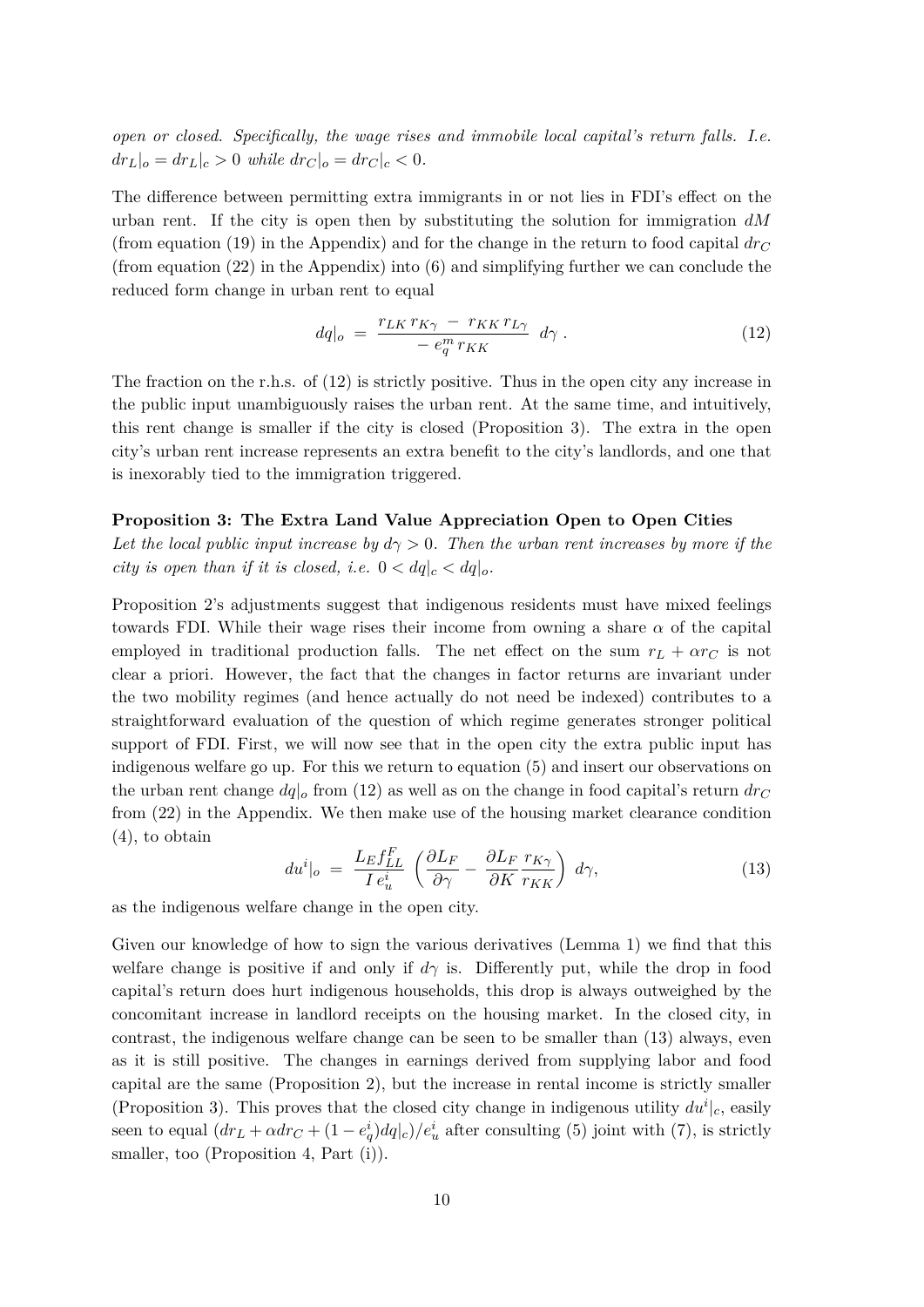*open or closed. Specifically, the wage rises and immobile local capital's return falls. I.e.*  $dr_L|_o = dr_L|_c > 0$  *while*  $dr_C|_o = dr_C|_c < 0$ .

The difference between permitting extra immigrants in or not lies in FDI's effect on the urban rent. If the city is open then by substituting the solution for immigration *dM* (from equation (19) in the Appendix) and for the change in the return to food capital  $dr_C$ (from equation (22) in the Appendix) into (6) and simplifying further we can conclude the reduced form change in urban rent to equal

$$
dq|_o = \frac{r_{LK}r_{K\gamma} - r_{KK}r_{L\gamma}}{-e_q^m r_{KK}} d\gamma.
$$
 (12)

The fraction on the r.h.s. of (12) is strictly positive. Thus in the open city any increase in the public input unambiguously raises the urban rent. At the same time, and intuitively, this rent change is smaller if the city is closed (Proposition 3). The extra in the open city's urban rent increase represents an extra benefit to the city's landlords, and one that is inexorably tied to the immigration triggered.

#### **Proposition 3: The Extra Land Value Appreciation Open to Open Cities**

*Let the local public input increase by*  $d\gamma > 0$ *. Then the urban rent increases by more if the city is open than if it is closed, i.e.*  $0 < dq<sub>c</sub> < dq<sub>o</sub>$ .

Proposition 2's adjustments suggest that indigenous residents must have mixed feelings towards FDI. While their wage rises their income from owning a share  $\alpha$  of the capital employed in traditional production falls. The net effect on the sum  $r_L + \alpha r_C$  is not clear a priori. However, the fact that the changes in factor returns are invariant under the two mobility regimes (and hence actually do not need be indexed) contributes to a straightforward evaluation of the question of which regime generates stronger political support of FDI. First, we will now see that in the open city the extra public input has indigenous welfare go up. For this we return to equation (5) and insert our observations on the urban rent change  $dq|_o$  from (12) as well as on the change in food capital's return  $dr_C$ from (22) in the Appendix. We then make use of the housing market clearance condition (4), to obtain

$$
du^{i}|_{o} = \frac{L_{E}f_{LL}^{F}}{I e_{u}^{i}} \left(\frac{\partial L_{F}}{\partial \gamma} - \frac{\partial L_{F}}{\partial K} \frac{r_{K\gamma}}{r_{KK}}\right) d\gamma, \qquad (13)
$$

as the indigenous welfare change in the open city.

Given our knowledge of how to sign the various derivatives (Lemma 1) we find that this welfare change is positive if and only if  $d\gamma$  is. Differently put, while the drop in food capital's return does hurt indigenous households, this drop is always outweighed by the concomitant increase in landlord receipts on the housing market. In the closed city, in contrast, the indigenous welfare change can be seen to be smaller than (13) always, even as it is still positive. The changes in earnings derived from supplying labor and food capital are the same (Proposition 2), but the increase in rental income is strictly smaller (Proposition 3). This proves that the closed city change in indigenous utility  $du^i|_c$ , easily seen to equal  $(dr_L + \alpha dr_C + (1 - e_q^i) dq|_c)/e_u^i$  after consulting (5) joint with (7), is strictly smaller, too (Proposition 4, Part (i)).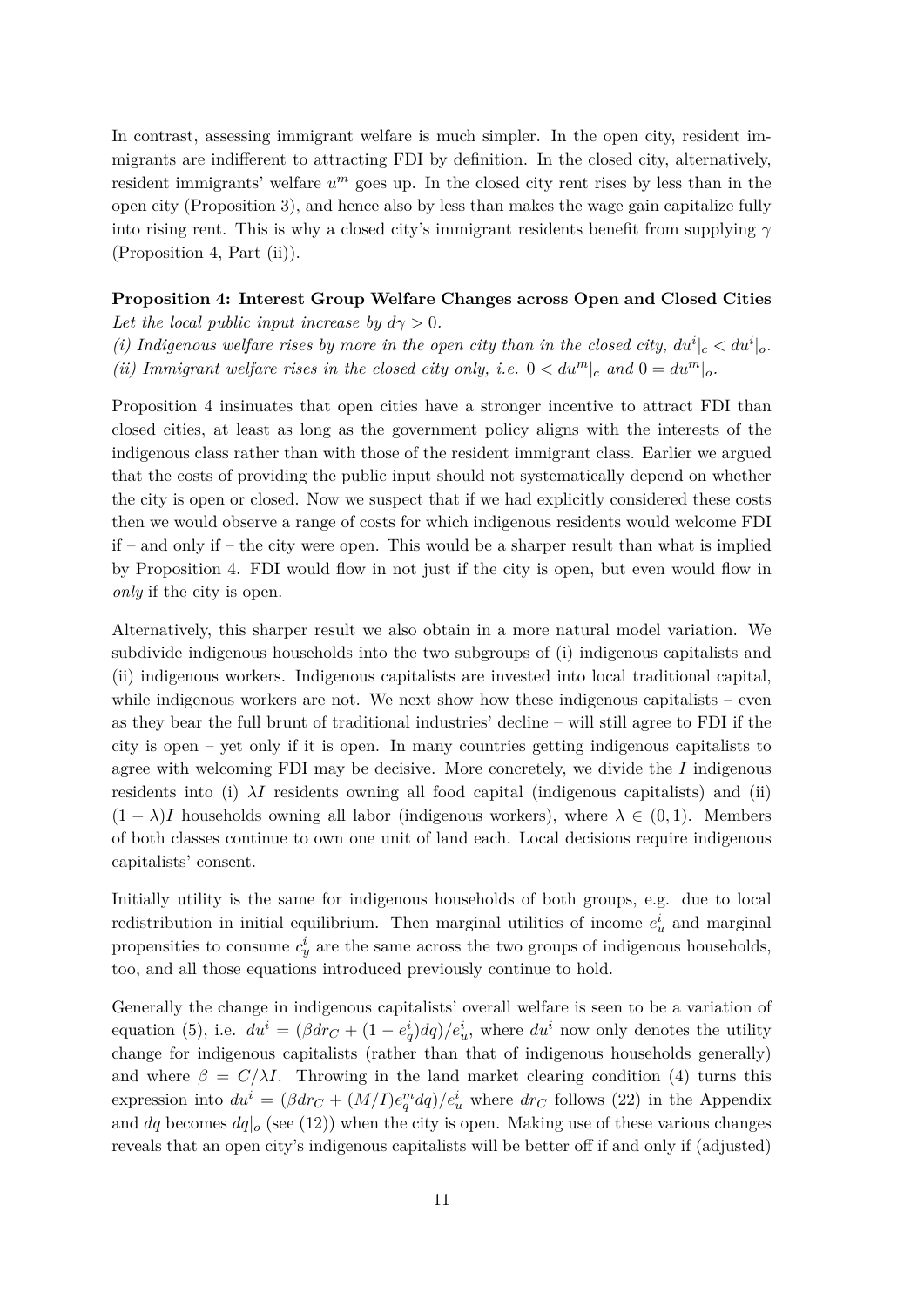In contrast, assessing immigrant welfare is much simpler. In the open city, resident immigrants are indifferent to attracting FDI by definition. In the closed city, alternatively, resident immigrants' welfare  $u^m$  goes up. In the closed city rent rises by less than in the open city (Proposition 3), and hence also by less than makes the wage gain capitalize fully into rising rent. This is why a closed city's immigrant residents benefit from supplying *γ* (Proposition 4, Part (ii)).

# **Proposition 4: Interest Group Welfare Changes across Open and Closed Cities**

*Let the local public input increase by*  $d\gamma > 0$ *.* 

(*i*) Indigenous welfare rises by more in the open city than in the closed city,  $du^{i}|_{c} < du^{i}|_{o}$ . *(ii) Immigrant welfare rises in the closed city only, i.e.*  $0 < du^m|_c$  *and*  $0 = du^m|_o$ *.* 

Proposition 4 insinuates that open cities have a stronger incentive to attract FDI than closed cities, at least as long as the government policy aligns with the interests of the indigenous class rather than with those of the resident immigrant class. Earlier we argued that the costs of providing the public input should not systematically depend on whether the city is open or closed. Now we suspect that if we had explicitly considered these costs then we would observe a range of costs for which indigenous residents would welcome FDI if – and only if – the city were open. This would be a sharper result than what is implied by Proposition 4. FDI would flow in not just if the city is open, but even would flow in *only* if the city is open.

Alternatively, this sharper result we also obtain in a more natural model variation. We subdivide indigenous households into the two subgroups of (i) indigenous capitalists and (ii) indigenous workers. Indigenous capitalists are invested into local traditional capital, while indigenous workers are not. We next show how these indigenous capitalists – even as they bear the full brunt of traditional industries' decline – will still agree to FDI if the city is open – yet only if it is open. In many countries getting indigenous capitalists to agree with welcoming FDI may be decisive. More concretely, we divide the *I* indigenous residents into (i) *λI* residents owning all food capital (indigenous capitalists) and (ii)  $(1 - \lambda)I$  households owning all labor (indigenous workers), where  $\lambda \in (0, 1)$ . Members of both classes continue to own one unit of land each. Local decisions require indigenous capitalists' consent.

Initially utility is the same for indigenous households of both groups, e.g. due to local redistribution in initial equilibrium. Then marginal utilities of income  $e_u^i$  and marginal propensities to consume  $c_y^i$  are the same across the two groups of indigenous households, too, and all those equations introduced previously continue to hold.

Generally the change in indigenous capitalists' overall welfare is seen to be a variation of equation (5), i.e.  $du^{i} = (\beta dr_{C} + (1 - e_{q}^{i})dq)/e_{u}^{i}$ , where  $du^{i}$  now only denotes the utility change for indigenous capitalists (rather than that of indigenous households generally) and where  $\beta = C/\lambda I$ . Throwing in the land market clearing condition (4) turns this expression into  $du^i = (\beta dr_C + (M/I)e_q^m dq)/e_u^i$  where  $dr_C$  follows (22) in the Appendix and  $dq$  becomes  $dq|_o$  (see (12)) when the city is open. Making use of these various changes reveals that an open city's indigenous capitalists will be better off if and only if (adjusted)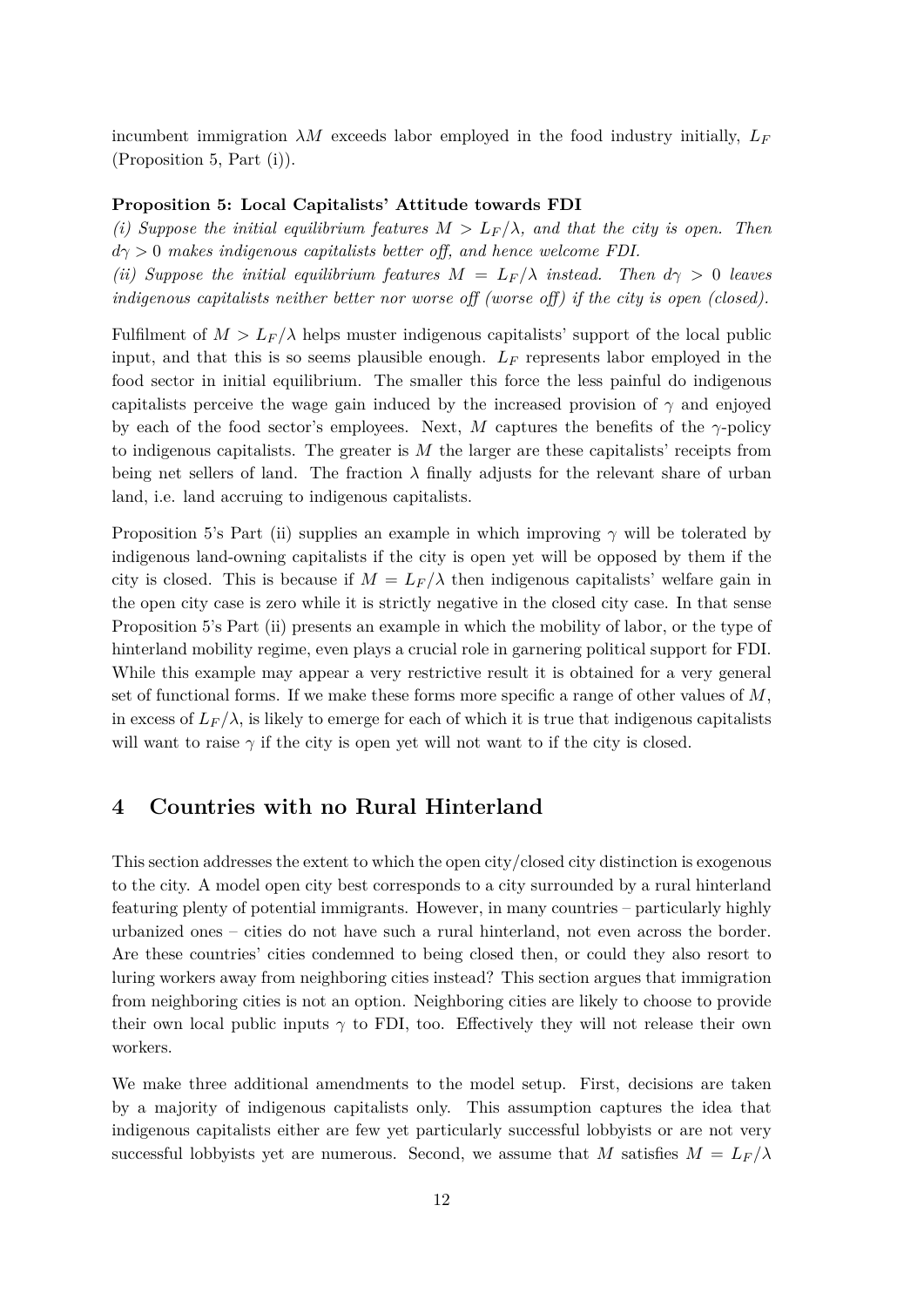incumbent immigration  $\lambda M$  exceeds labor employed in the food industry initially,  $L_F$ (Proposition 5, Part (i)).

#### **Proposition 5: Local Capitalists' Attitude towards FDI**

*(i) Suppose the initial equilibrium features*  $M > L_F/\lambda$ , and that the city is open. Then *dγ >* 0 *makes indigenous capitalists better off, and hence welcome FDI.*

*(ii)* Suppose the initial equilibrium features  $M = L_F/\lambda$  instead. Then  $d\gamma > 0$  leaves *indigenous capitalists neither better nor worse off (worse off) if the city is open (closed).*

Fulfilment of  $M > L_F/\lambda$  helps muster indigenous capitalists' support of the local public input, and that this is so seems plausible enough. *L<sup>F</sup>* represents labor employed in the food sector in initial equilibrium. The smaller this force the less painful do indigenous capitalists perceive the wage gain induced by the increased provision of  $\gamma$  and enjoyed by each of the food sector's employees. Next, *M* captures the benefits of the *γ*-policy to indigenous capitalists. The greater is *M* the larger are these capitalists' receipts from being net sellers of land. The fraction  $\lambda$  finally adjusts for the relevant share of urban land, i.e. land accruing to indigenous capitalists.

Proposition 5's Part (ii) supplies an example in which improving *γ* will be tolerated by indigenous land-owning capitalists if the city is open yet will be opposed by them if the city is closed. This is because if  $M = L_F/\lambda$  then indigenous capitalists' welfare gain in the open city case is zero while it is strictly negative in the closed city case. In that sense Proposition 5's Part (ii) presents an example in which the mobility of labor, or the type of hinterland mobility regime, even plays a crucial role in garnering political support for FDI. While this example may appear a very restrictive result it is obtained for a very general set of functional forms. If we make these forms more specific a range of other values of *M*, in excess of  $L_F/\lambda$ , is likely to emerge for each of which it is true that indigenous capitalists will want to raise  $\gamma$  if the city is open yet will not want to if the city is closed.

### **4 Countries with no Rural Hinterland**

This section addresses the extent to which the open city/closed city distinction is exogenous to the city. A model open city best corresponds to a city surrounded by a rural hinterland featuring plenty of potential immigrants. However, in many countries – particularly highly urbanized ones – cities do not have such a rural hinterland, not even across the border. Are these countries' cities condemned to being closed then, or could they also resort to luring workers away from neighboring cities instead? This section argues that immigration from neighboring cities is not an option. Neighboring cities are likely to choose to provide their own local public inputs  $\gamma$  to FDI, too. Effectively they will not release their own workers.

We make three additional amendments to the model setup. First, decisions are taken by a majority of indigenous capitalists only. This assumption captures the idea that indigenous capitalists either are few yet particularly successful lobbyists or are not very successful lobbyists yet are numerous. Second, we assume that *M* satisfies  $M = L_F/\lambda$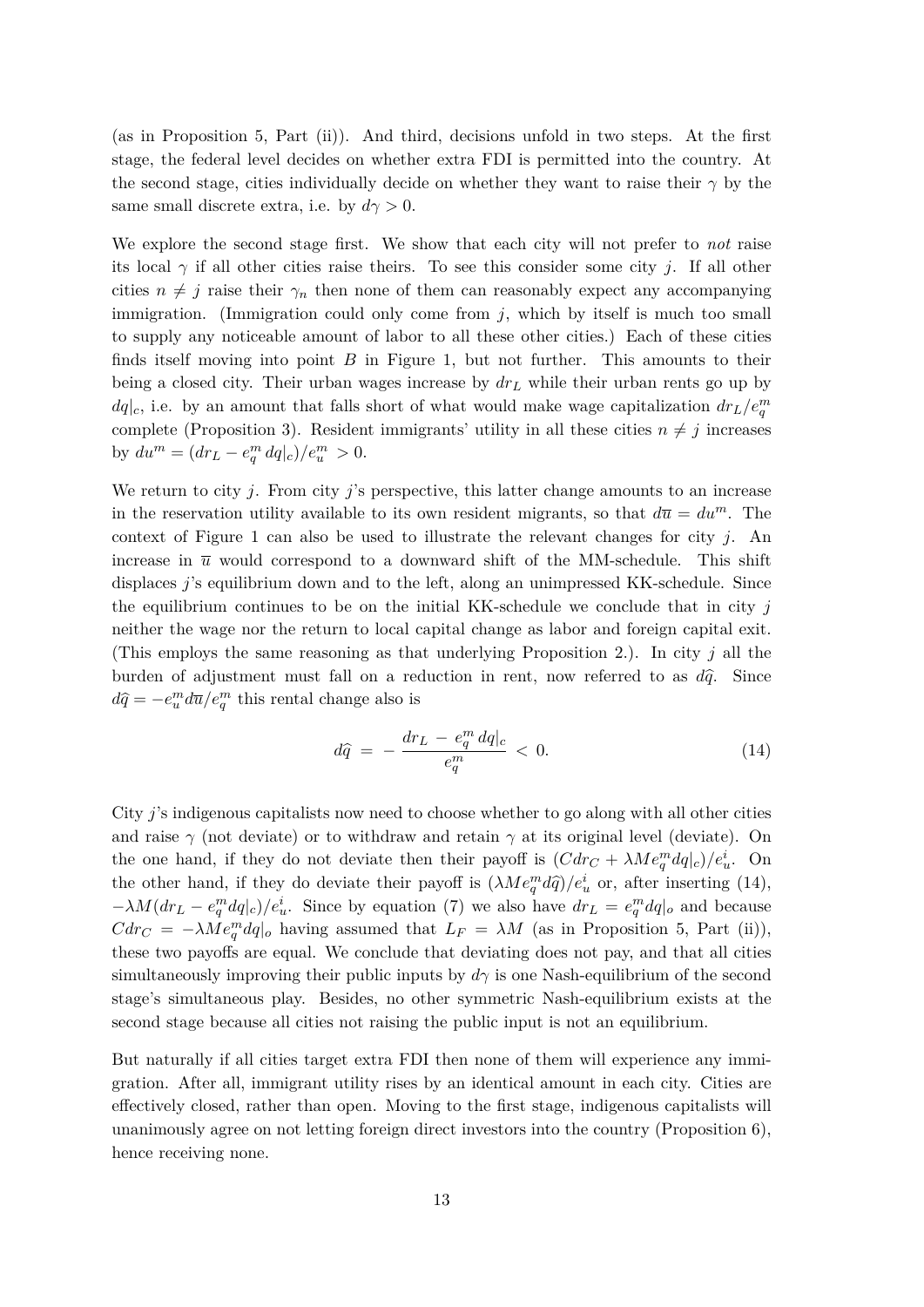(as in Proposition 5, Part (ii)). And third, decisions unfold in two steps. At the first stage, the federal level decides on whether extra FDI is permitted into the country. At the second stage, cities individually decide on whether they want to raise their  $\gamma$  by the same small discrete extra, i.e. by  $d\gamma > 0$ .

We explore the second stage first. We show that each city will not prefer to *not* raise its local  $\gamma$  if all other cities raise theirs. To see this consider some city *j*. If all other cities  $n \neq j$  raise their  $\gamma_n$  then none of them can reasonably expect any accompanying immigration. (Immigration could only come from *j*, which by itself is much too small to supply any noticeable amount of labor to all these other cities.) Each of these cities finds itself moving into point *B* in Figure 1, but not further. This amounts to their being a closed city. Their urban wages increase by *dr<sup>L</sup>* while their urban rents go up by *dq*|*c*, i.e. by an amount that falls short of what would make wage capitalization  $dr_L/e_q^m$ complete (Proposition 3). Resident immigrants' utility in all these cities  $n \neq j$  increases by  $du^m = (dr_L - e_q^m dq|_c)/e_u^m > 0.$ 

We return to city *j*. From city *j*'s perspective, this latter change amounts to an increase in the reservation utility available to its own resident migrants, so that  $d\overline{u} = du^m$ . The context of Figure 1 can also be used to illustrate the relevant changes for city *j*. An increase in  $\bar{u}$  would correspond to a downward shift of the MM-schedule. This shift displaces *j*'s equilibrium down and to the left, along an unimpressed KK-schedule. Since the equilibrium continues to be on the initial KK-schedule we conclude that in city *j* neither the wage nor the return to local capital change as labor and foreign capital exit. (This employs the same reasoning as that underlying Proposition 2.). In city *j* all the burden of adjustment must fall on a reduction in rent, now referred to as  $d\hat{q}$ . Since  $d\hat{q} = -e_u^m d\overline{u}/e_q^m$  this rental change also is

$$
d\hat{q} = -\frac{dr_L - e_q^m \, dq|_c}{e_q^m} < 0. \tag{14}
$$

City *j*'s indigenous capitalists now need to choose whether to go along with all other cities and raise  $\gamma$  (not deviate) or to withdraw and retain  $\gamma$  at its original level (deviate). On the one hand, if they do not deviate then their payoff is  $(Cdr_C + \lambda Me_q^m dq|_c)/e_u^i$ . On the other hand, if they do deviate their payoff is  $(\lambda M e_q^m d\hat{q})/e_u^i$  or, after inserting (14),  $-\lambda M(dr_L - e_q^m dq|_c)/e_u^i$ . Since by equation (7) we also have  $dr_L = e_q^m dq|_o$  and because  $Cdr_C = -\lambda Me_q^m dq|_o$  having assumed that  $L_F = \lambda M$  (as in Proposition 5, Part (ii)), these two payoffs are equal. We conclude that deviating does not pay, and that all cities simultaneously improving their public inputs by  $d\gamma$  is one Nash-equilibrium of the second stage's simultaneous play. Besides, no other symmetric Nash-equilibrium exists at the second stage because all cities not raising the public input is not an equilibrium.

But naturally if all cities target extra FDI then none of them will experience any immigration. After all, immigrant utility rises by an identical amount in each city. Cities are effectively closed, rather than open. Moving to the first stage, indigenous capitalists will unanimously agree on not letting foreign direct investors into the country (Proposition 6), hence receiving none.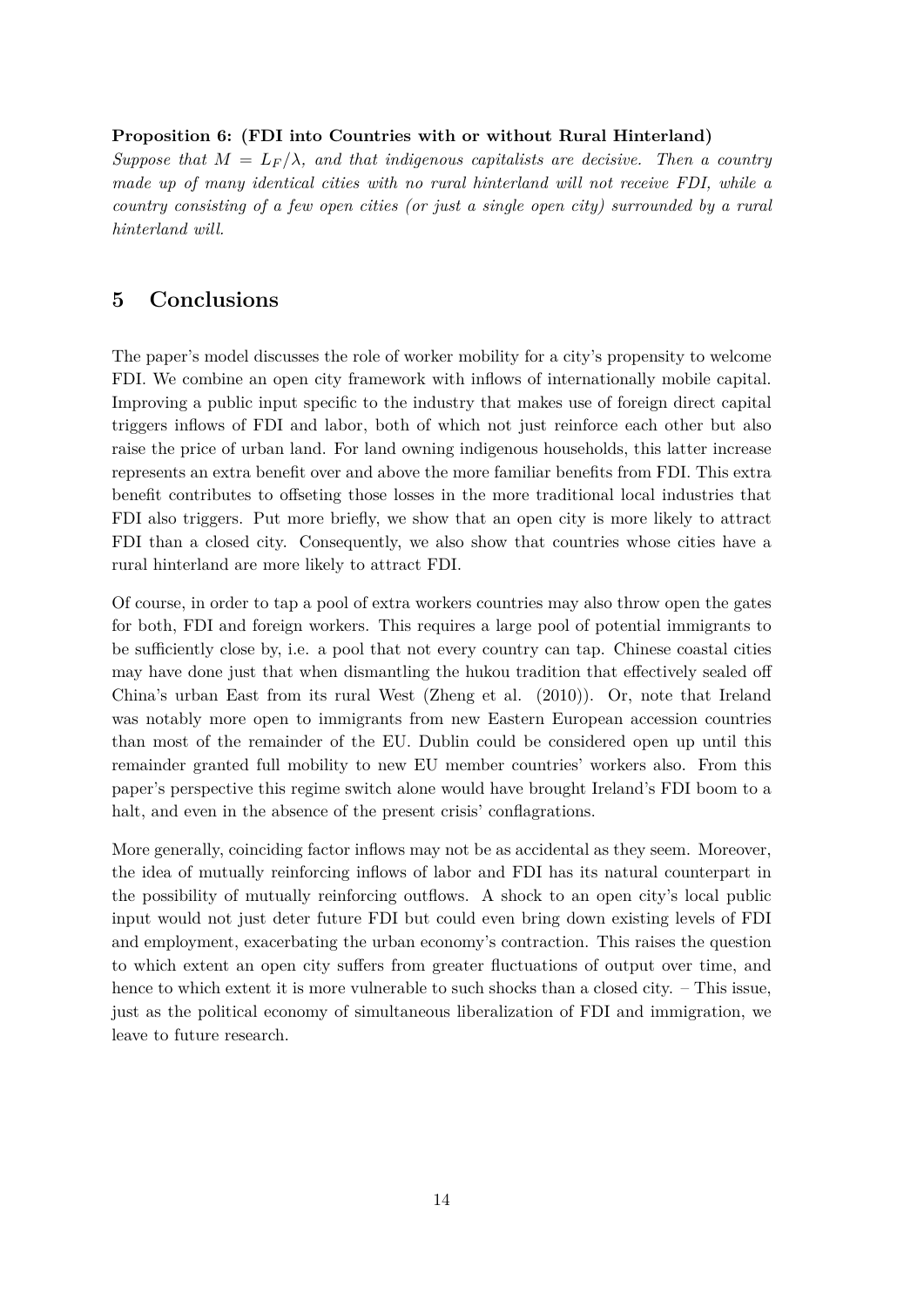#### **Proposition 6: (FDI into Countries with or without Rural Hinterland)**

*Suppose that*  $M = L_F/\lambda$ , and that indigenous capitalists are decisive. Then a country *made up of many identical cities with no rural hinterland will not receive FDI, while a country consisting of a few open cities (or just a single open city) surrounded by a rural hinterland will.*

## **5 Conclusions**

The paper's model discusses the role of worker mobility for a city's propensity to welcome FDI. We combine an open city framework with inflows of internationally mobile capital. Improving a public input specific to the industry that makes use of foreign direct capital triggers inflows of FDI and labor, both of which not just reinforce each other but also raise the price of urban land. For land owning indigenous households, this latter increase represents an extra benefit over and above the more familiar benefits from FDI. This extra benefit contributes to offseting those losses in the more traditional local industries that FDI also triggers. Put more briefly, we show that an open city is more likely to attract FDI than a closed city. Consequently, we also show that countries whose cities have a rural hinterland are more likely to attract FDI.

Of course, in order to tap a pool of extra workers countries may also throw open the gates for both, FDI and foreign workers. This requires a large pool of potential immigrants to be sufficiently close by, i.e. a pool that not every country can tap. Chinese coastal cities may have done just that when dismantling the hukou tradition that effectively sealed off China's urban East from its rural West (Zheng et al. (2010)). Or, note that Ireland was notably more open to immigrants from new Eastern European accession countries than most of the remainder of the EU. Dublin could be considered open up until this remainder granted full mobility to new EU member countries' workers also. From this paper's perspective this regime switch alone would have brought Ireland's FDI boom to a halt, and even in the absence of the present crisis' conflagrations.

More generally, coinciding factor inflows may not be as accidental as they seem. Moreover, the idea of mutually reinforcing inflows of labor and FDI has its natural counterpart in the possibility of mutually reinforcing outflows. A shock to an open city's local public input would not just deter future FDI but could even bring down existing levels of FDI and employment, exacerbating the urban economy's contraction. This raises the question to which extent an open city suffers from greater fluctuations of output over time, and hence to which extent it is more vulnerable to such shocks than a closed city. – This issue, just as the political economy of simultaneous liberalization of FDI and immigration, we leave to future research.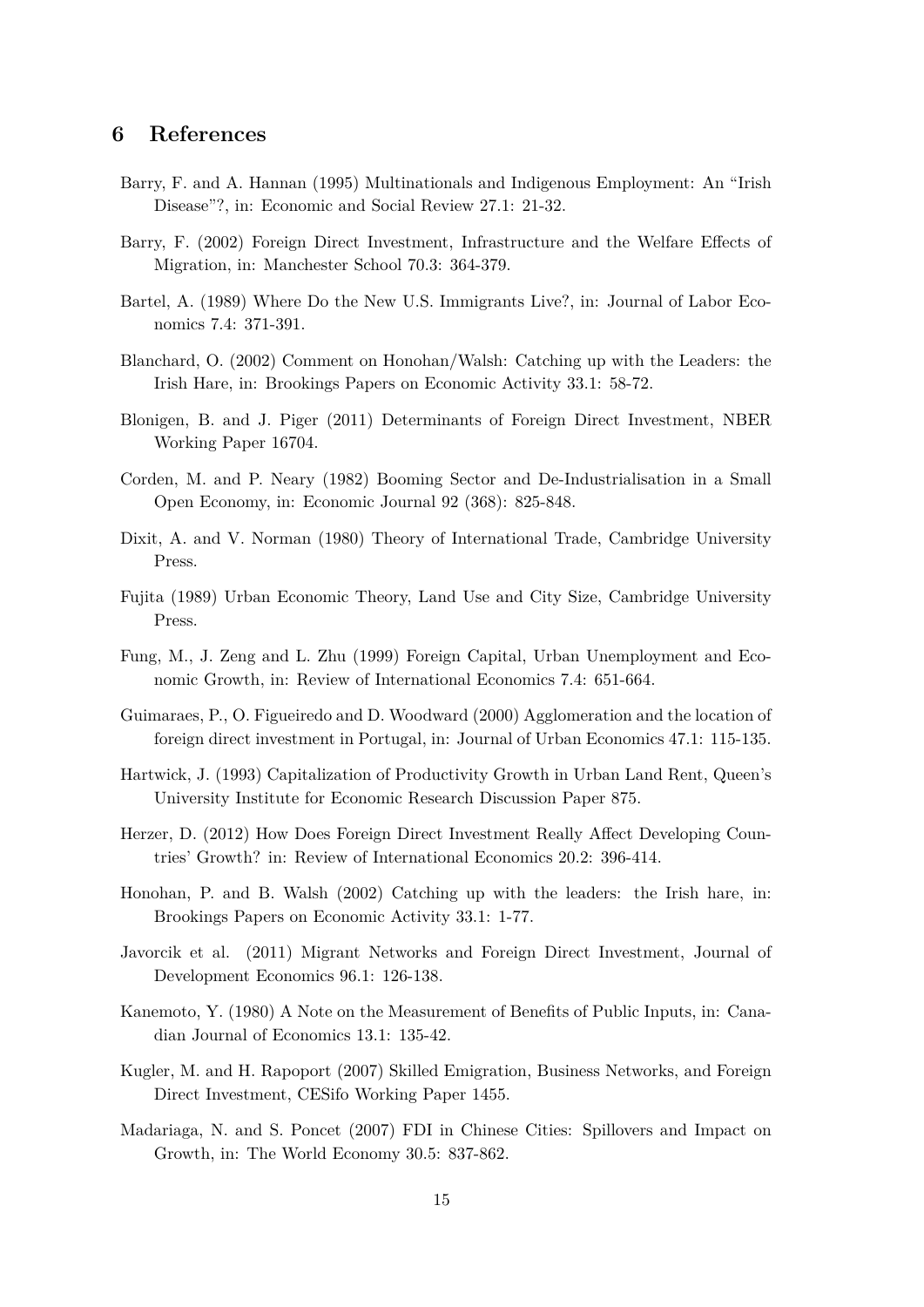### **6 References**

- Barry, F. and A. Hannan (1995) Multinationals and Indigenous Employment: An "Irish Disease"?, in: Economic and Social Review 27.1: 21-32.
- Barry, F. (2002) Foreign Direct Investment, Infrastructure and the Welfare Effects of Migration, in: Manchester School 70.3: 364-379.
- Bartel, A. (1989) Where Do the New U.S. Immigrants Live?, in: Journal of Labor Economics 7.4: 371-391.
- Blanchard, O. (2002) Comment on Honohan/Walsh: Catching up with the Leaders: the Irish Hare, in: Brookings Papers on Economic Activity 33.1: 58-72.
- Blonigen, B. and J. Piger (2011) Determinants of Foreign Direct Investment, NBER Working Paper 16704.
- Corden, M. and P. Neary (1982) Booming Sector and De-Industrialisation in a Small Open Economy, in: Economic Journal 92 (368): 825-848.
- Dixit, A. and V. Norman (1980) Theory of International Trade, Cambridge University Press.
- Fujita (1989) Urban Economic Theory, Land Use and City Size, Cambridge University Press.
- Fung, M., J. Zeng and L. Zhu (1999) Foreign Capital, Urban Unemployment and Economic Growth, in: Review of International Economics 7.4: 651-664.
- Guimaraes, P., O. Figueiredo and D. Woodward (2000) Agglomeration and the location of foreign direct investment in Portugal, in: Journal of Urban Economics 47.1: 115-135.
- Hartwick, J. (1993) Capitalization of Productivity Growth in Urban Land Rent, Queen's University Institute for Economic Research Discussion Paper 875.
- Herzer, D. (2012) How Does Foreign Direct Investment Really Affect Developing Countries' Growth? in: Review of International Economics 20.2: 396-414.
- Honohan, P. and B. Walsh (2002) Catching up with the leaders: the Irish hare, in: Brookings Papers on Economic Activity 33.1: 1-77.
- Javorcik et al. (2011) Migrant Networks and Foreign Direct Investment, Journal of Development Economics 96.1: 126-138.
- Kanemoto, Y. (1980) A Note on the Measurement of Benefits of Public Inputs, in: Canadian Journal of Economics 13.1: 135-42.
- Kugler, M. and H. Rapoport (2007) Skilled Emigration, Business Networks, and Foreign Direct Investment, CESifo Working Paper 1455.
- Madariaga, N. and S. Poncet (2007) FDI in Chinese Cities: Spillovers and Impact on Growth, in: The World Economy 30.5: 837-862.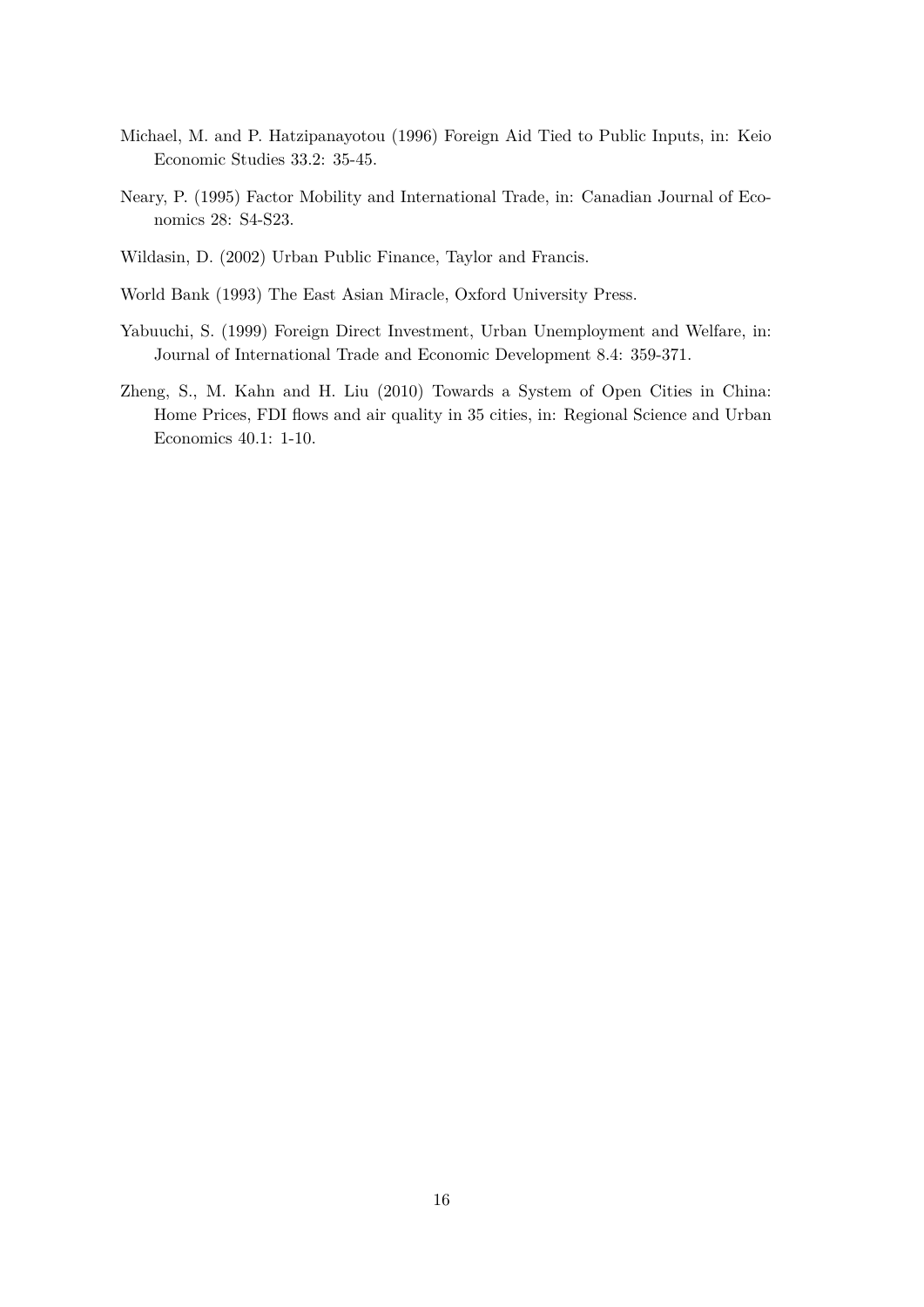- Michael, M. and P. Hatzipanayotou (1996) Foreign Aid Tied to Public Inputs, in: Keio Economic Studies 33.2: 35-45.
- Neary, P. (1995) Factor Mobility and International Trade, in: Canadian Journal of Economics 28: S4-S23.
- Wildasin, D. (2002) Urban Public Finance, Taylor and Francis.
- World Bank (1993) The East Asian Miracle, Oxford University Press.
- Yabuuchi, S. (1999) Foreign Direct Investment, Urban Unemployment and Welfare, in: Journal of International Trade and Economic Development 8.4: 359-371.
- Zheng, S., M. Kahn and H. Liu (2010) Towards a System of Open Cities in China: Home Prices, FDI flows and air quality in 35 cities, in: Regional Science and Urban Economics 40.1: 1-10.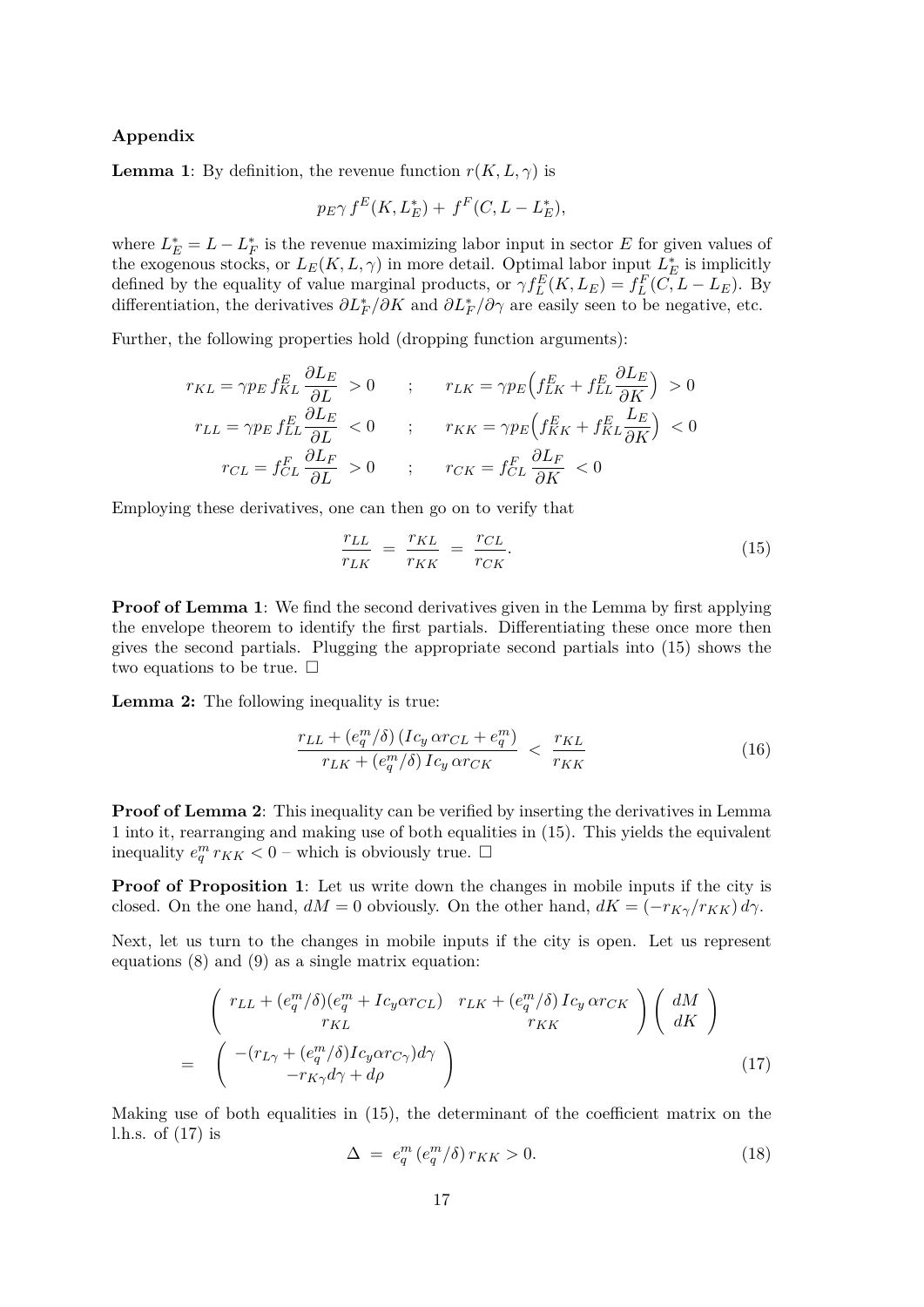#### **Appendix**

**Lemma 1**: By definition, the revenue function  $r(K, L, \gamma)$  is

$$
p_E \gamma f^E(K, L_E^*) + f^F(C, L - L_E^*),
$$

where  $L_E^* = L - L_F^*$  is the revenue maximizing labor input in sector *E* for given values of the exogenous stocks, or  $L_E(K, L, \gamma)$  in more detail. Optimal labor input  $L_E^*$  is implicitly defined by the equality of value marginal products, or  $\gamma f_L^E(K, L_E) = f_L^F(\overline{C}, L - L_E)$ . By differentiation, the derivatives  $\partial L_F^* / \partial K$  and  $\partial L_F^* / \partial \gamma$  are easily seen to be negative, etc.

Further, the following properties hold (dropping function arguments):

$$
r_{KL} = \gamma p_E f_{KL}^E \frac{\partial L_E}{\partial L} > 0 \qquad ; \qquad r_{LK} = \gamma p_E \Big( f_{LK}^E + f_{LL}^E \frac{\partial L_E}{\partial K} \Big) > 0
$$

$$
r_{LL} = \gamma p_E f_{LL}^E \frac{\partial L_E}{\partial L} < 0 \qquad ; \qquad r_{KK} = \gamma p_E \Big( f_{KK}^E + f_{KL}^E \frac{L_E}{\partial K} \Big) < 0
$$

$$
r_{CL} = f_{CL}^F \frac{\partial L_F}{\partial L} > 0 \qquad ; \qquad r_{CK} = f_{CL}^F \frac{\partial L_F}{\partial K} < 0
$$

Employing these derivatives, one can then go on to verify that

$$
\frac{r_{LL}}{r_{LK}} = \frac{r_{KL}}{r_{KK}} = \frac{r_{CL}}{r_{CK}}.\tag{15}
$$

**Proof of Lemma 1**: We find the second derivatives given in the Lemma by first applying the envelope theorem to identify the first partials. Differentiating these once more then gives the second partials. Plugging the appropriate second partials into (15) shows the two equations to be true.  $\Box$ 

**Lemma 2:** The following inequality is true:

$$
\frac{r_{LL} + \left(e_q^m / \delta\right) \left(Ic_y \alpha r_{CL} + e_q^m\right)}{r_{LK} + \left(e_q^m / \delta\right) Ic_y \alpha r_{CK}} < \frac{r_{KL}}{r_{KK}}\tag{16}
$$

**Proof of Lemma 2:** This inequality can be verified by inserting the derivatives in Lemma 1 into it, rearranging and making use of both equalities in (15). This yields the equivalent inequality  $e_q^m r_{KK} < 0$  – which is obviously true.  $\Box$ 

**Proof of Proposition 1**: Let us write down the changes in mobile inputs if the city is closed. On the one hand,  $dM = 0$  obviously. On the other hand,  $dK = (-r_{K\gamma}/r_{KK}) d\gamma$ .

Next, let us turn to the changes in mobile inputs if the city is open. Let us represent equations (8) and (9) as a single matrix equation:

$$
\begin{pmatrix}\nr_{LL} + (e_q^m/\delta)(e_q^m + I_{cy}\alpha r_{CL}) & r_{LK} + (e_q^m/\delta)I_{cy}\alpha r_{CK} \\
r_{KL} & r_{KK}\n\end{pmatrix}\n\begin{pmatrix}\ndM \\
dK\n\end{pmatrix}
$$
\n
$$
= \begin{pmatrix}\n-(r_{L\gamma} + (e_q^m/\delta)I_{cy}\alpha r_{C\gamma})d\gamma \\
-r_{K\gamma}d\gamma + d\rho\n\end{pmatrix}
$$
\n(17)

Making use of both equalities in (15), the determinant of the coefficient matrix on the l.h.s. of (17) is

$$
\Delta = e_q^m \left( e_q^m / \delta \right) r_{KK} > 0. \tag{18}
$$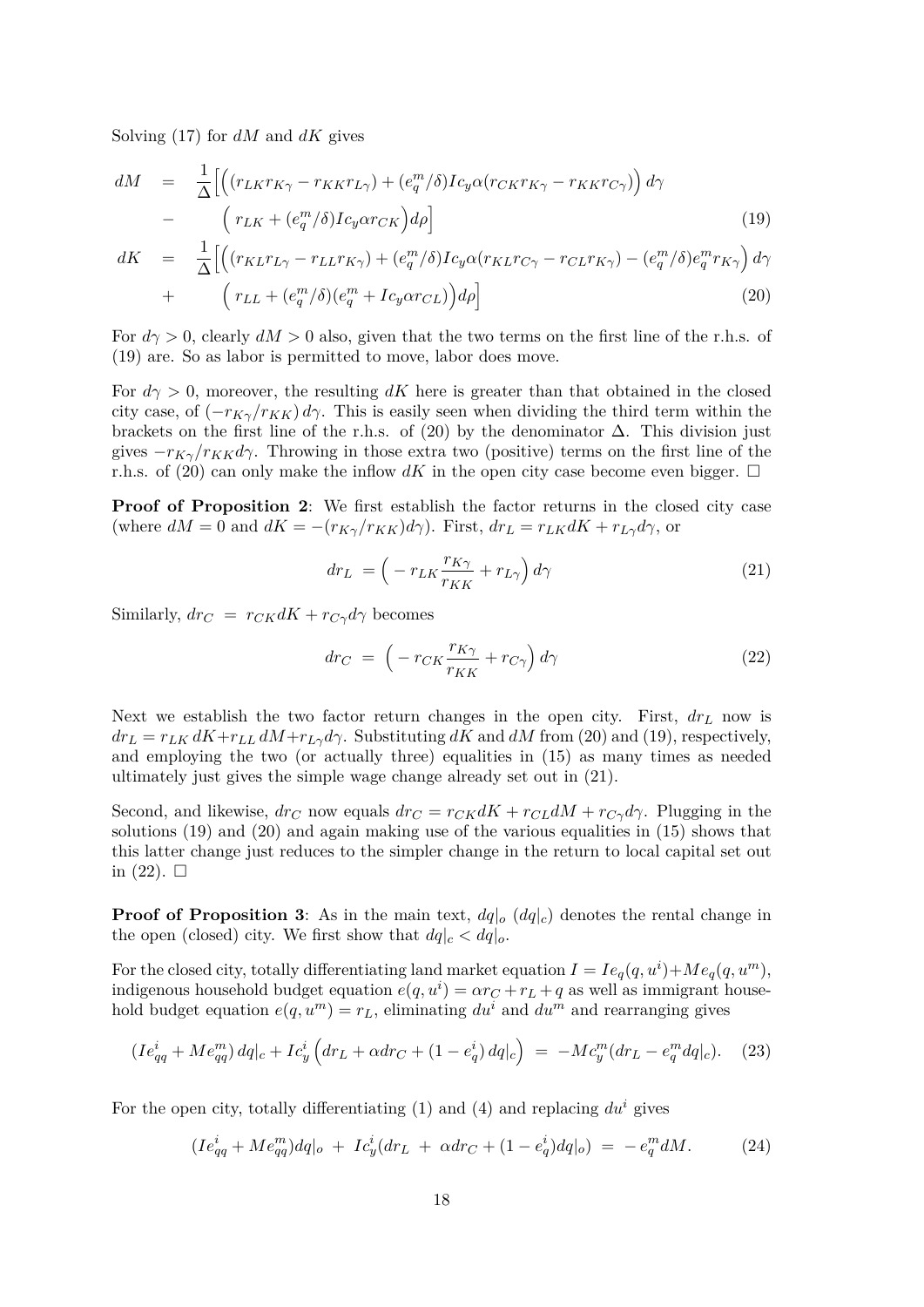Solving (17) for *dM* and *dK* gives

$$
dM = \frac{1}{\Delta} \Big[ \Big( (r_{LK}r_{K\gamma} - r_{KK}r_{L\gamma}) + (e_q^m/\delta)I_{c_y\alpha}(r_{CK}r_{K\gamma} - r_{KK}r_{C\gamma}) \Big) d\gamma
$$
  
- 
$$
\Big( r_{LK} + (e_q^m/\delta)I_{c_y\alpha r_{CK}} \Big) d\rho \Big]
$$
(19)

$$
dK = \frac{1}{\Delta} \Big[ \Big( (r_{KL}r_{L\gamma} - r_{LL}r_{K\gamma}) + (e_q^m/\delta)I_{cy}\alpha(r_{KL}r_{C\gamma} - r_{CL}r_{K\gamma}) - (e_q^m/\delta)e_q^mr_{K\gamma} \Big) d\gamma
$$
  
+ 
$$
\Big( r_{LL} + (e_q^m/\delta)(e_q^m + I_{cy}\alpha r_{CL}) \Big) d\rho \Big]
$$
(20)

For  $d\gamma > 0$ , clearly  $dM > 0$  also, given that the two terms on the first line of the r.h.s. of (19) are. So as labor is permitted to move, labor does move.

For  $d\gamma > 0$ , moreover, the resulting dK here is greater than that obtained in the closed city case, of  $(-r_{K\gamma}/r_{KK}) d\gamma$ . This is easily seen when dividing the third term within the brackets on the first line of the r.h.s. of (20) by the denominator  $\Delta$ . This division just gives  $-r_{K\gamma}/r_{KK}d\gamma$ . Throwing in those extra two (positive) terms on the first line of the r.h.s. of (20) can only make the inflow  $dK$  in the open city case become even bigger.  $\Box$ 

**Proof of Proposition 2:** We first establish the factor returns in the closed city case (where  $dM = 0$  and  $dK = -(r_{K\gamma}/r_{KK})d\gamma$ ). First,  $dr_L = r_{LK}dK + r_{L\gamma}d\gamma$ , or

$$
dr_L = \left(-r_{LK}\frac{r_{K\gamma}}{r_{KK}} + r_{L\gamma}\right)d\gamma\tag{21}
$$

Similarly,  $dr_C = r_{CK}dK + r_{C\gamma}d\gamma$  becomes

$$
dr_C = \left(-r_{CK}\frac{r_{K\gamma}}{r_{KK}} + r_{C\gamma}\right)d\gamma\tag{22}
$$

Next we establish the two factor return changes in the open city. First, *dr<sup>L</sup>* now is  $dr_L = r_{LK} dK + r_{LL} dM + r_{L\gamma} d\gamma$ . Substituting *dK* and *dM* from (20) and (19), respectively, and employing the two (or actually three) equalities in (15) as many times as needed ultimately just gives the simple wage change already set out in (21).

Second, and likewise,  $dr_C$  now equals  $dr_C = r_{CK}dK + r_{CL}dM + r_{C\gamma}d\gamma$ . Plugging in the solutions (19) and (20) and again making use of the various equalities in (15) shows that this latter change just reduces to the simpler change in the return to local capital set out in  $(22)$ .  $\square$ 

**Proof of Proposition 3**: As in the main text,  $dq|_o$  ( $dq|_c$ ) denotes the rental change in the open (closed) city. We first show that  $dq|_c < dq|_o$ .

For the closed city, totally differentiating land market equation  $I = Ie_q(q, u^i) + Me_q(q, u^m)$ , indigenous household budget equation  $e(q, u^i) = \alpha r_C + r_L + q$  as well as immigrant household budget equation  $e(q, u^m) = r_L$ , eliminating  $du^i$  and  $du^m$  and rearranging gives

$$
(Ie_{qq}^i + Me_{qq}^m) dq|_c + Ic_y^i (dr_L + \alpha dr_C + (1 - e_q^i) dq|_c) = -Mc_y^m(dr_L - e_q^m dq|_c).
$$
 (23)

For the open city, totally differentiating  $(1)$  and  $(4)$  and replacing  $du^i$  gives

$$
(Ie_{qq}^i + Me_{qq}^m)dq|_o + Ic_y^i(dr_L + \alpha dr_C + (1 - e_q^i)dq|_o) = -e_q^m dM.
$$
 (24)